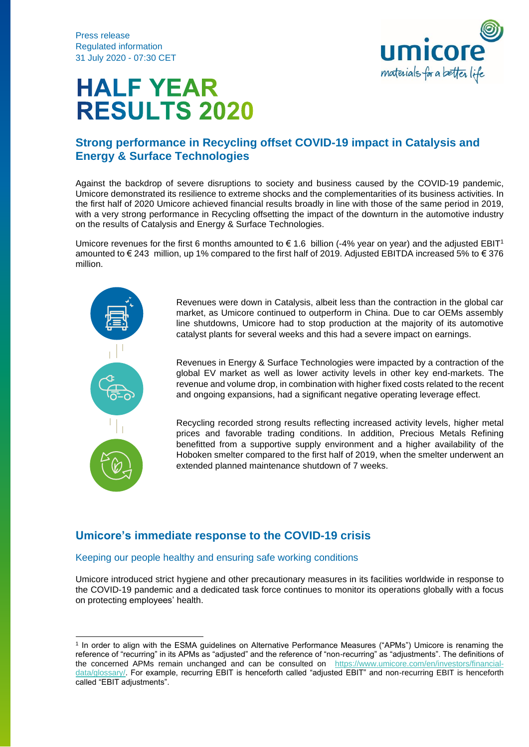

# **HALF YEAR RESULTS 2020**

## **Strong performance in Recycling offset COVID-19 impact in Catalysis and Energy & Surface Technologies**

Against the backdrop of severe disruptions to society and business caused by the COVID-19 pandemic, Umicore demonstrated its resilience to extreme shocks and the complementarities of its business activities. In the first half of 2020 Umicore achieved financial results broadly in line with those of the same period in 2019, with a very strong performance in Recycling offsetting the impact of the downturn in the automotive industry on the results of Catalysis and Energy & Surface Technologies.

Umicore revenues for the first 6 months amounted to  $\epsilon$  1.6 billion (-4% year on year) and the adjusted EBIT<sup>1</sup> amounted to  $\epsilon$  243 million, up 1% compared to the first half of 2019. Adjusted EBITDA increased 5% to  $\epsilon$  376 million.



Revenues were down in Catalysis, albeit less than the contraction in the global car market, as Umicore continued to outperform in China. Due to car OEMs assembly line shutdowns, Umicore had to stop production at the majority of its automotive catalyst plants for several weeks and this had a severe impact on earnings.

Revenues in Energy & Surface Technologies were impacted by a contraction of the global EV market as well as lower activity levels in other key end-markets. The revenue and volume drop, in combination with higher fixed costs related to the recent and ongoing expansions, had a significant negative operating leverage effect.

Recycling recorded strong results reflecting increased activity levels, higher metal prices and favorable trading conditions. In addition, Precious Metals Refining benefitted from a supportive supply environment and a higher availability of the Hoboken smelter compared to the first half of 2019, when the smelter underwent an extended planned maintenance shutdown of 7 weeks.

## **Umicore's immediate response to the COVID-19 crisis**

#### Keeping our people healthy and ensuring safe working conditions

Umicore introduced strict hygiene and other precautionary measures in its facilities worldwide in response to the COVID-19 pandemic and a dedicated task force continues to monitor its operations globally with a focus on protecting employees' health.

<sup>1</sup> In order to align with the ESMA guidelines on Alternative Performance Measures ("APMs") Umicore is renaming the reference of "recurring" in its APMs as "adjusted" and the reference of "non-recurring" as "adjustments". The definitions of the concerned APMs remain unchanged and can be consulted on [https://www.umicore.com/en/investors/financial](https://www.umicore.com/en/investors/financial-data/glossary/)[data/glossary/.](https://www.umicore.com/en/investors/financial-data/glossary/) For example, recurring EBIT is henceforth called "adjusted EBIT" and non-recurring EBIT is henceforth called "EBIT adjustments".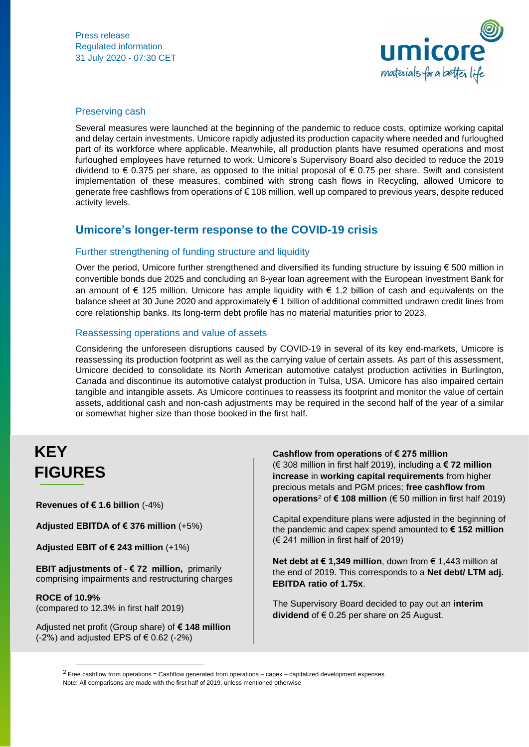

#### Preserving cash

Several measures were launched at the beginning of the pandemic to reduce costs, optimize working capital and delay certain investments. Umicore rapidly adjusted its production capacity where needed and furloughed part of its workforce where applicable. Meanwhile, all production plants have resumed operations and most furloughed employees have returned to work. Umicore's Supervisory Board also decided to reduce the 2019 dividend to € 0.375 per share, as opposed to the initial proposal of € 0.75 per share. Swift and consistent implementation of these measures, combined with strong cash flows in Recycling, allowed Umicore to generate free cashflows from operations of € 108 million, well up compared to previous years, despite reduced activity levels.

## **Umicore's longer-term response to the COVID-19 crisis**

#### Further strengthening of funding structure and liquidity

Over the period. Umicore further strengthened and diversified its funding structure by issuing € 500 million in convertible bonds due 2025 and concluding an 8-year loan agreement with the European Investment Bank for an amount of  $\epsilon$  125 million. Umicore has ample liquidity with  $\epsilon$  1.2 billion of cash and equivalents on the balance sheet at 30 June 2020 and approximately € 1 billion of additional committed undrawn credit lines from core relationship banks. Its long-term debt profile has no material maturities prior to 2023.

#### Reassessing operations and value of assets

Considering the unforeseen disruptions caused by COVID-19 in several of its key end-markets, Umicore is reassessing its production footprint as well as the carrying value of certain assets. As part of this assessment, Umicore decided to consolidate its North American automotive catalyst production activities in Burlington, Canada and discontinue its automotive catalyst production in Tulsa, USA. Umicore has also impaired certain tangible and intangible assets. As Umicore continues to reassess its footprint and monitor the value of certain assets, additional cash and non-cash adjustments may be required in the second half of the year of a similar or somewhat higher size than those booked in the first half.

# **KEY FIGURES**

**Revenues of € 1.6 billion** (-4%)

**Adjusted EBITDA of € 376 million** (+5%)

**Adjusted EBIT of € 243 million** (+1%)

**EBIT adjustments of** - **€ 72 million,** primarily comprising impairments and restructuring charges

**ROCE of 10.9%** (compared to 12.3% in first half 2019)

Adjusted net profit (Group share) of **€ 148 million**  $(-2%)$  and adjusted EPS of  $\in$  0.62  $(-2%)$ 

**Cashflow from operations** of **€ 275 million** (€ 308 million in first half 2019), including a **€ 72 million increase** in **working capital requirements** from higher precious metals and PGM prices; **free cashflow from operations**<sup>2</sup> of **€ 108 million** (€ 50 million in first half 2019)

Capital expenditure plans were adjusted in the beginning of the pandemic and capex spend amounted to **€ 152 million** (€ 241 million in first half of 2019)

**Net debt at € 1,349 million**, down from € 1,443 million at the end of 2019. This corresponds to a **Net debt/ LTM adj. EBITDA ratio of 1.75x**.

The Supervisory Board decided to pay out an **interim dividend** of € 0.25 per share on 25 August.

 $2$  Free cashflow from operations = Cashflow generated from operations – capex – capitalized development expenses. Note: All comparisons are made with the first half of 2019, unless mentioned otherwise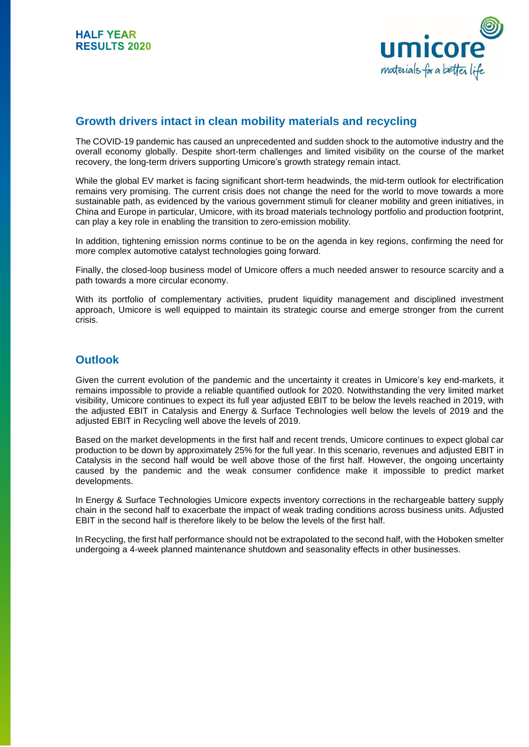

## **Growth drivers intact in clean mobility materials and recycling**

The COVID-19 pandemic has caused an unprecedented and sudden shock to the automotive industry and the overall economy globally. Despite short-term challenges and limited visibility on the course of the market recovery, the long-term drivers supporting Umicore's growth strategy remain intact.

While the global EV market is facing significant short-term headwinds, the mid-term outlook for electrification remains very promising. The current crisis does not change the need for the world to move towards a more sustainable path, as evidenced by the various government stimuli for cleaner mobility and green initiatives, in China and Europe in particular, Umicore, with its broad materials technology portfolio and production footprint, can play a key role in enabling the transition to zero-emission mobility.

In addition, tightening emission norms continue to be on the agenda in key regions, confirming the need for more complex automotive catalyst technologies going forward.

Finally, the closed-loop business model of Umicore offers a much needed answer to resource scarcity and a path towards a more circular economy.

With its portfolio of complementary activities, prudent liquidity management and disciplined investment approach, Umicore is well equipped to maintain its strategic course and emerge stronger from the current crisis.

## **Outlook**

Given the current evolution of the pandemic and the uncertainty it creates in Umicore's key end-markets, it remains impossible to provide a reliable quantified outlook for 2020. Notwithstanding the very limited market visibility, Umicore continues to expect its full year adjusted EBIT to be below the levels reached in 2019, with the adjusted EBIT in Catalysis and Energy & Surface Technologies well below the levels of 2019 and the adjusted EBIT in Recycling well above the levels of 2019.

Based on the market developments in the first half and recent trends, Umicore continues to expect global car production to be down by approximately 25% for the full year. In this scenario, revenues and adjusted EBIT in Catalysis in the second half would be well above those of the first half. However, the ongoing uncertainty caused by the pandemic and the weak consumer confidence make it impossible to predict market developments.

In Energy & Surface Technologies Umicore expects inventory corrections in the rechargeable battery supply chain in the second half to exacerbate the impact of weak trading conditions across business units. Adjusted EBIT in the second half is therefore likely to be below the levels of the first half.

In Recycling, the first half performance should not be extrapolated to the second half, with the Hoboken smelter undergoing a 4-week planned maintenance shutdown and seasonality effects in other businesses.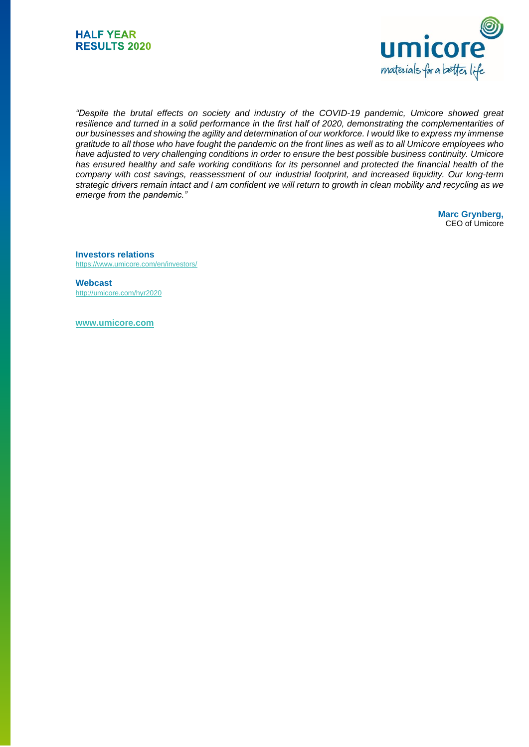



*"Despite the brutal effects on society and industry of the COVID-19 pandemic, Umicore showed great* resilience and turned in a solid performance in the first half of 2020, demonstrating the complementarities of our businesses and showing the agility and determination of our workforce. I would like to express my immense gratitude to all those who have fought the pandemic on the front lines as well as to all Umicore employees who *have adjusted to very challenging conditions in order to ensure the best possible business continuity. Umicore* has ensured healthy and safe working conditions for its personnel and protected the financial health of the *company with cost savings, reassessment of our industrial footprint, and increased liquidity. Our long-term* strategic drivers remain intact and I am confident we will return to growth in clean mobility and recycling as we *emerge from the pandemic."*

> **Marc Grynberg,** CEO of Umicore

**Investors relations** <https://www.umicore.com/en/investors/>

**Webcast** <http://umicore.com/hyr2020>

**[www.umicore.com](http://www.umicore.com/)**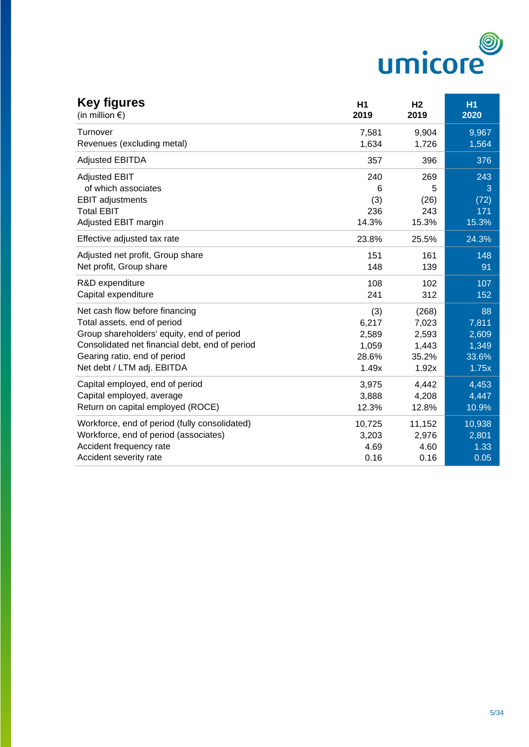

| <b>Key figures</b><br>(in million $\epsilon$ ) | H1<br>2019 | H <sub>2</sub><br>2019 | <b>H1</b><br>2020 |
|------------------------------------------------|------------|------------------------|-------------------|
| Turnover                                       | 7,581      | 9,904                  | 9,967             |
| Revenues (excluding metal)                     | 1,634      | 1,726                  | 1,564             |
| <b>Adjusted EBITDA</b>                         | 357        | 396                    | 376               |
| <b>Adjusted EBIT</b>                           | 240        | 269                    | 243               |
| of which associates                            | 6          | 5                      | 3                 |
| <b>EBIT</b> adjustments                        | (3)        | (26)                   | (72)              |
| <b>Total EBIT</b>                              | 236        | 243                    | 171               |
| Adjusted EBIT margin                           | 14.3%      | 15.3%                  | 15.3%             |
| Effective adjusted tax rate                    | 23.8%      | 25.5%                  | 24.3%             |
| Adjusted net profit, Group share               | 151        | 161                    | 148               |
| Net profit, Group share                        | 148        | 139                    | 91                |
| R&D expenditure                                | 108        | 102                    | 107               |
| Capital expenditure                            | 241        | 312                    | 152               |
| Net cash flow before financing                 | (3)        | (268)                  | 88                |
| Total assets, end of period                    | 6,217      | 7,023                  | 7,811             |
| Group shareholders' equity, end of period      | 2,589      | 2,593                  | 2,609             |
| Consolidated net financial debt, end of period | 1,059      | 1,443                  | 1,349             |
| Gearing ratio, end of period                   | 28.6%      | 35.2%                  | 33.6%             |
| Net debt / LTM adj. EBITDA                     | 1.49x      | 1.92x                  | 1.75x             |
| Capital employed, end of period                | 3,975      | 4,442                  | 4,453             |
| Capital employed, average                      | 3,888      | 4,208                  | 4,447             |
| Return on capital employed (ROCE)              | 12.3%      | 12.8%                  | 10.9%             |
| Workforce, end of period (fully consolidated)  | 10,725     | 11,152                 | 10,938            |
| Workforce, end of period (associates)          | 3,203      | 2,976                  | 2,801             |
| Accident frequency rate                        | 4.69       | 4.60                   | 1.33              |
| Accident severity rate                         | 0.16       | 0.16                   | 0.05              |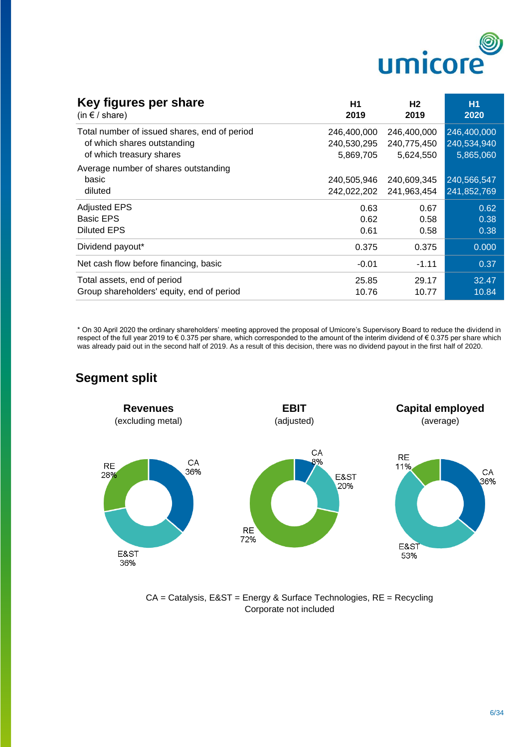

| Key figures per share<br>(in $f$ / share)    | H1<br>2019  | Н2<br>2019  | <b>H1</b><br>2020 |
|----------------------------------------------|-------------|-------------|-------------------|
| Total number of issued shares, end of period | 246,400,000 | 246,400,000 | 246,400,000       |
| of which shares outstanding                  | 240,530,295 | 240,775,450 | 240,534,940       |
| of which treasury shares                     | 5,869,705   | 5,624,550   | 5,865,060         |
| Average number of shares outstanding         |             |             |                   |
| basic                                        | 240,505,946 | 240,609,345 | 240,566,547       |
| diluted                                      | 242,022,202 | 241,963,454 | 241,852,769       |
| <b>Adjusted EPS</b>                          | 0.63        | 0.67        | 0.62              |
| <b>Basic EPS</b>                             | 0.62        | 0.58        | 0.38              |
| Diluted EPS                                  | 0.61        | 0.58        | 0.38              |
| Dividend payout*                             | 0.375       | 0.375       | 0.000             |
| Net cash flow before financing, basic        | $-0.01$     | $-1.11$     | 0.37              |
| Total assets, end of period                  | 25.85       | 29.17       | 32.47             |
| Group shareholders' equity, end of period    | 10.76       | 10.77       | 10.84             |

\* On 30 April 2020 the ordinary shareholders' meeting approved the proposal of Umicore's Supervisory Board to reduce the dividend in respect of the full year 2019 to € 0.375 per share, which corresponded to the amount of the interim dividend of € 0.375 per share which was already paid out in the second half of 2019. As a result of this decision, there was no dividend payout in the first half of 2020.



CA = Catalysis, E&ST = Energy & Surface Technologies, RE = Recycling Corporate not included

## **Segment split**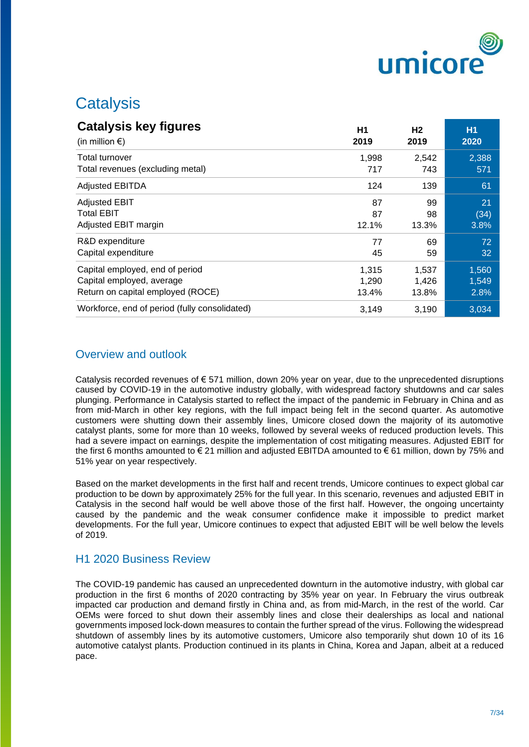

# **Catalysis**

| <b>Catalysis key figures</b>                  | H <sub>1</sub> | H <sub>2</sub> | <b>H1</b> |
|-----------------------------------------------|----------------|----------------|-----------|
| (in million $\epsilon$ )                      | 2019           | 2019           | 2020      |
| Total turnover                                | 1,998          | 2,542          | 2,388     |
| Total revenues (excluding metal)              | 717            | 743            | 571       |
| <b>Adjusted EBITDA</b>                        | 124            | 139            | 61        |
| <b>Adjusted EBIT</b>                          | 87             | 99             | 21        |
| <b>Total EBIT</b>                             | 87             | 98             | (34)      |
| Adjusted EBIT margin                          | 12.1%          | 13.3%          | 3.8%      |
| R&D expenditure                               | 77             | 69             | 72        |
| Capital expenditure                           | 45             | 59             | 32        |
| Capital employed, end of period               | 1,315          | 1,537          | 1,560     |
| Capital employed, average                     | 1,290          | 1,426          | 1,549     |
| Return on capital employed (ROCE)             | 13.4%          | 13.8%          | 2.8%      |
| Workforce, end of period (fully consolidated) | 3,149          | 3,190          | 3,034     |

## Overview and outlook

Catalysis recorded revenues of  $\epsilon$  571 million, down 20% year on year, due to the unprecedented disruptions caused by COVID-19 in the automotive industry globally, with widespread factory shutdowns and car sales plunging. Performance in Catalysis started to reflect the impact of the pandemic in February in China and as from mid-March in other key regions, with the full impact being felt in the second quarter. As automotive customers were shutting down their assembly lines, Umicore closed down the majority of its automotive catalyst plants, some for more than 10 weeks, followed by several weeks of reduced production levels. This had a severe impact on earnings, despite the implementation of cost mitigating measures. Adjusted EBIT for the first 6 months amounted to € 21 million and adjusted EBITDA amounted to € 61 million, down by 75% and 51% year on year respectively.

Based on the market developments in the first half and recent trends, Umicore continues to expect global car production to be down by approximately 25% for the full year. In this scenario, revenues and adjusted EBIT in Catalysis in the second half would be well above those of the first half. However, the ongoing uncertainty caused by the pandemic and the weak consumer confidence make it impossible to predict market developments. For the full year, Umicore continues to expect that adjusted EBIT will be well below the levels of 2019.

#### H1 2020 Business Review

The COVID-19 pandemic has caused an unprecedented downturn in the automotive industry, with global car production in the first 6 months of 2020 contracting by 35% year on year. In February the virus outbreak impacted car production and demand firstly in China and, as from mid-March, in the rest of the world. Car OEMs were forced to shut down their assembly lines and close their dealerships as local and national governments imposed lock-down measures to contain the further spread of the virus. Following the widespread shutdown of assembly lines by its automotive customers, Umicore also temporarily shut down 10 of its 16 automotive catalyst plants. Production continued in its plants in China, Korea and Japan, albeit at a reduced pace.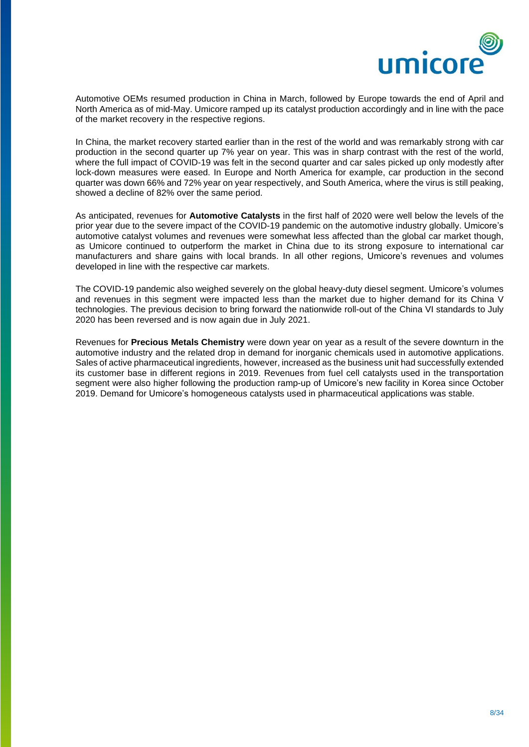

Automotive OEMs resumed production in China in March, followed by Europe towards the end of April and North America as of mid-May. Umicore ramped up its catalyst production accordingly and in line with the pace of the market recovery in the respective regions.

In China, the market recovery started earlier than in the rest of the world and was remarkably strong with car production in the second quarter up 7% year on year. This was in sharp contrast with the rest of the world, where the full impact of COVID-19 was felt in the second quarter and car sales picked up only modestly after lock-down measures were eased. In Europe and North America for example, car production in the second quarter was down 66% and 72% year on year respectively, and South America, where the virus is still peaking, showed a decline of 82% over the same period.

As anticipated, revenues for **Automotive Catalysts** in the first half of 2020 were well below the levels of the prior year due to the severe impact of the COVID-19 pandemic on the automotive industry globally. Umicore's automotive catalyst volumes and revenues were somewhat less affected than the global car market though, as Umicore continued to outperform the market in China due to its strong exposure to international car manufacturers and share gains with local brands. In all other regions, Umicore's revenues and volumes developed in line with the respective car markets.

The COVID-19 pandemic also weighed severely on the global heavy-duty diesel segment. Umicore's volumes and revenues in this segment were impacted less than the market due to higher demand for its China V technologies. The previous decision to bring forward the nationwide roll-out of the China VI standards to July 2020 has been reversed and is now again due in July 2021.

Revenues for **Precious Metals Chemistry** were down year on year as a result of the severe downturn in the automotive industry and the related drop in demand for inorganic chemicals used in automotive applications. Sales of active pharmaceutical ingredients, however, increased as the business unit had successfully extended its customer base in different regions in 2019. Revenues from fuel cell catalysts used in the transportation segment were also higher following the production ramp-up of Umicore's new facility in Korea since October 2019. Demand for Umicore's homogeneous catalysts used in pharmaceutical applications was stable.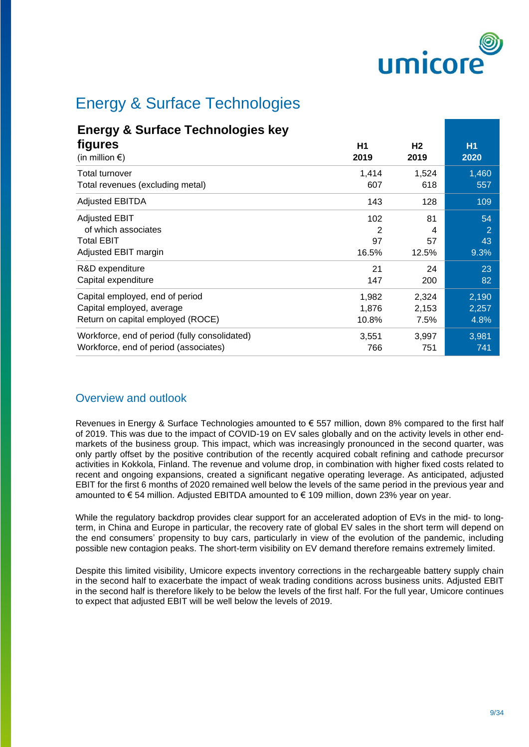

# Energy & Surface Technologies

# **Energy & Surface Technologies key**

| figures<br>(in million $\epsilon$ )           | H1<br>2019 | H <sub>2</sub><br>2019 | H <sub>1</sub><br>2020 |
|-----------------------------------------------|------------|------------------------|------------------------|
| Total turnover                                | 1,414      | 1,524                  | 1,460                  |
| Total revenues (excluding metal)              | 607        | 618                    | 557                    |
| Adjusted EBITDA                               | 143        | 128                    | 109                    |
| <b>Adjusted EBIT</b>                          | 102        | 81                     | 54                     |
| of which associates                           | 2          | 4                      | 2                      |
| <b>Total EBIT</b>                             | 97         | 57                     | 43                     |
| Adjusted EBIT margin                          | 16.5%      | 12.5%                  | 9.3%                   |
| R&D expenditure                               | 21         | 24                     | 23                     |
| Capital expenditure                           | 147        | 200                    | 82                     |
| Capital employed, end of period               | 1,982      | 2,324                  | 2,190                  |
| Capital employed, average                     | 1,876      | 2,153                  | 2,257                  |
| Return on capital employed (ROCE)             | 10.8%      | 7.5%                   | 4.8%                   |
| Workforce, end of period (fully consolidated) | 3,551      | 3,997                  | 3,981                  |
| Workforce, end of period (associates)         | 766        | 751                    | 741                    |

## Overview and outlook

Revenues in Energy & Surface Technologies amounted to € 557 million, down 8% compared to the first half of 2019. This was due to the impact of COVID-19 on EV sales globally and on the activity levels in other endmarkets of the business group. This impact, which was increasingly pronounced in the second quarter, was only partly offset by the positive contribution of the recently acquired cobalt refining and cathode precursor activities in Kokkola, Finland. The revenue and volume drop, in combination with higher fixed costs related to recent and ongoing expansions, created a significant negative operating leverage. As anticipated, adjusted EBIT for the first 6 months of 2020 remained well below the levels of the same period in the previous year and amounted to € 54 million. Adjusted EBITDA amounted to € 109 million, down 23% year on year.

While the regulatory backdrop provides clear support for an accelerated adoption of EVs in the mid- to longterm, in China and Europe in particular, the recovery rate of global EV sales in the short term will depend on the end consumers' propensity to buy cars, particularly in view of the evolution of the pandemic, including possible new contagion peaks. The short-term visibility on EV demand therefore remains extremely limited.

Despite this limited visibility, Umicore expects inventory corrections in the rechargeable battery supply chain in the second half to exacerbate the impact of weak trading conditions across business units. Adjusted EBIT in the second half is therefore likely to be below the levels of the first half. For the full year, Umicore continues to expect that adjusted EBIT will be well below the levels of 2019.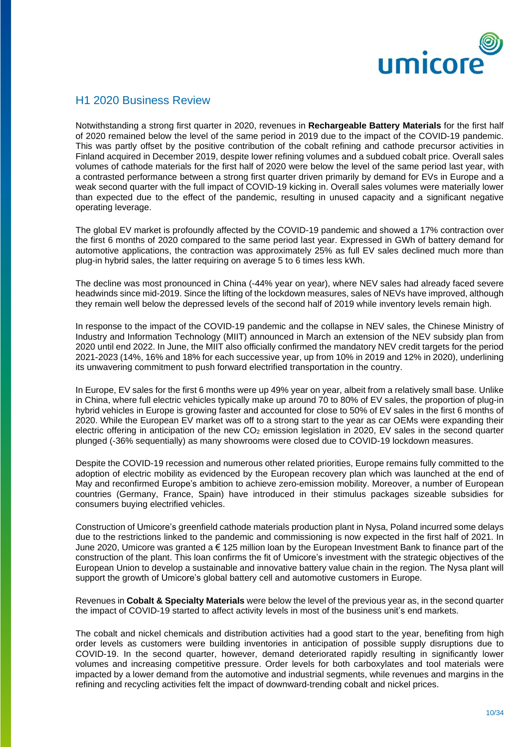

#### H1 2020 Business Review

Notwithstanding a strong first quarter in 2020, revenues in **Rechargeable Battery Materials** for the first half of 2020 remained below the level of the same period in 2019 due to the impact of the COVID-19 pandemic. This was partly offset by the positive contribution of the cobalt refining and cathode precursor activities in Finland acquired in December 2019, despite lower refining volumes and a subdued cobalt price. Overall sales volumes of cathode materials for the first half of 2020 were below the level of the same period last year, with a contrasted performance between a strong first quarter driven primarily by demand for EVs in Europe and a weak second quarter with the full impact of COVID-19 kicking in. Overall sales volumes were materially lower than expected due to the effect of the pandemic, resulting in unused capacity and a significant negative operating leverage.

The global EV market is profoundly affected by the COVID-19 pandemic and showed a 17% contraction over the first 6 months of 2020 compared to the same period last year. Expressed in GWh of battery demand for automotive applications, the contraction was approximately 25% as full EV sales declined much more than plug-in hybrid sales, the latter requiring on average 5 to 6 times less kWh.

The decline was most pronounced in China (-44% year on year), where NEV sales had already faced severe headwinds since mid-2019. Since the lifting of the lockdown measures, sales of NEVs have improved, although they remain well below the depressed levels of the second half of 2019 while inventory levels remain high.

In response to the impact of the COVID-19 pandemic and the collapse in NEV sales, the Chinese Ministry of Industry and Information Technology (MIIT) announced in March an extension of the NEV subsidy plan from 2020 until end 2022. In June, the MIIT also officially confirmed the mandatory NEV credit targets for the period 2021-2023 (14%, 16% and 18% for each successive year, up from 10% in 2019 and 12% in 2020), underlining its unwavering commitment to push forward electrified transportation in the country.

In Europe, EV sales for the first 6 months were up 49% year on year, albeit from a relatively small base. Unlike in China, where full electric vehicles typically make up around 70 to 80% of EV sales, the proportion of plug-in hybrid vehicles in Europe is growing faster and accounted for close to 50% of EV sales in the first 6 months of 2020. While the European EV market was off to a strong start to the year as car OEMs were expanding their electric offering in anticipation of the new  $CO<sub>2</sub>$  emission legislation in 2020, EV sales in the second quarter plunged (-36% sequentially) as many showrooms were closed due to COVID-19 lockdown measures.

Despite the COVID-19 recession and numerous other related priorities, Europe remains fully committed to the adoption of electric mobility as evidenced by the European recovery plan which was launched at the end of May and reconfirmed Europe's ambition to achieve zero-emission mobility. Moreover, a number of European countries (Germany, France, Spain) have introduced in their stimulus packages sizeable subsidies for consumers buying electrified vehicles.

Construction of Umicore's greenfield cathode materials production plant in Nysa, Poland incurred some delays due to the restrictions linked to the pandemic and commissioning is now expected in the first half of 2021. In June 2020, Umicore was granted a € 125 million loan by the European Investment Bank to finance part of the construction of the plant. This loan confirms the fit of Umicore's investment with the strategic objectives of the European Union to develop a sustainable and innovative battery value chain in the region. The Nysa plant will support the growth of Umicore's global battery cell and automotive customers in Europe.

Revenues in **Cobalt & Specialty Materials** were below the level of the previous year as, in the second quarter the impact of COVID-19 started to affect activity levels in most of the business unit's end markets.

The cobalt and nickel chemicals and distribution activities had a good start to the year, benefiting from high order levels as customers were building inventories in anticipation of possible supply disruptions due to COVID-19. In the second quarter, however, demand deteriorated rapidly resulting in significantly lower volumes and increasing competitive pressure. Order levels for both carboxylates and tool materials were impacted by a lower demand from the automotive and industrial segments, while revenues and margins in the refining and recycling activities felt the impact of downward-trending cobalt and nickel prices.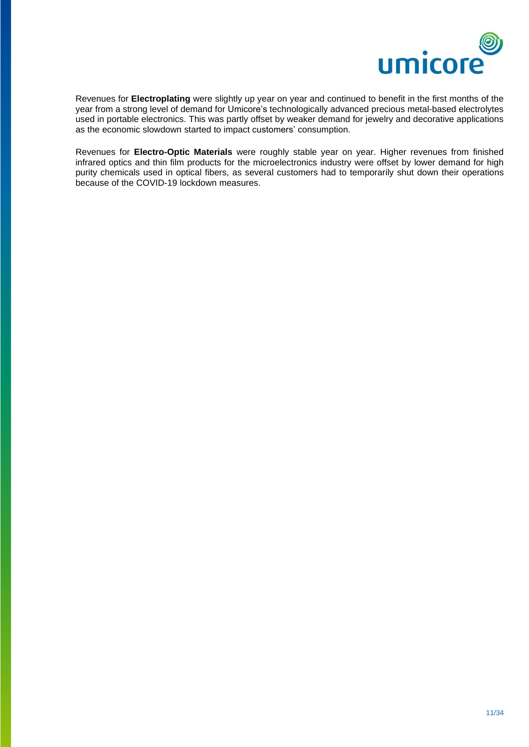

Revenues for **Electroplating** were slightly up year on year and continued to benefit in the first months of the year from a strong level of demand for Umicore's technologically advanced precious metal-based electrolytes used in portable electronics. This was partly offset by weaker demand for jewelry and decorative applications as the economic slowdown started to impact customers' consumption.

Revenues for **Electro-Optic Materials** were roughly stable year on year. Higher revenues from finished infrared optics and thin film products for the microelectronics industry were offset by lower demand for high purity chemicals used in optical fibers, as several customers had to temporarily shut down their operations because of the COVID-19 lockdown measures.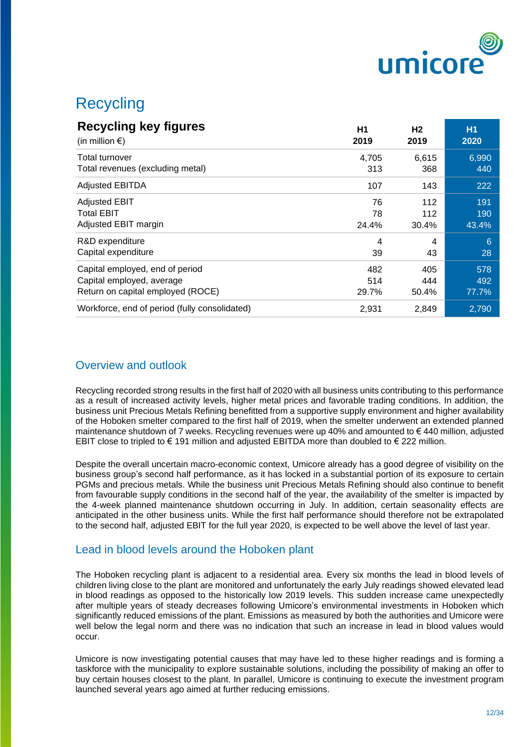

# **Recycling**

| <b>Recycling key figures</b>                  | H1    | H <sub>2</sub> | <b>H1</b> |
|-----------------------------------------------|-------|----------------|-----------|
| (in million $\epsilon$ )                      | 2019  | 2019           | 2020      |
| <b>Total turnover</b>                         | 4,705 | 6,615          | 6,990     |
| Total revenues (excluding metal)              | 313   | 368            | 440       |
| <b>Adjusted EBITDA</b>                        | 107   | 143            | 222       |
| <b>Adjusted EBIT</b>                          | 76    | 112            | 191       |
| <b>Total EBIT</b>                             | 78    | 112            | 190       |
| Adjusted EBIT margin                          | 24.4% | 30.4%          | 43.4%     |
| R&D expenditure                               | 4     | 4              | 6         |
| Capital expenditure                           | 39    | 43             | 28        |
| Capital employed, end of period               | 482   | 405            | 578       |
| Capital employed, average                     | 514   | 444            | 492       |
| Return on capital employed (ROCE)             | 29.7% | 50.4%          | 77.7%     |
| Workforce, end of period (fully consolidated) | 2,931 | 2,849          | 2,790     |

## Overview and outlook

Recycling recorded strong results in the first half of 2020 with all business units contributing to this performance as a result of increased activity levels, higher metal prices and favorable trading conditions. In addition, the business unit Precious Metals Refining benefitted from a supportive supply environment and higher availability of the Hoboken smelter compared to the first half of 2019, when the smelter underwent an extended planned maintenance shutdown of 7 weeks. Recycling revenues were up 40% and amounted to € 440 million, adjusted EBIT close to tripled to € 191 million and adjusted EBITDA more than doubled to € 222 million.

Despite the overall uncertain macro-economic context, Umicore already has a good degree of visibility on the business group's second half performance, as it has locked in a substantial portion of its exposure to certain PGMs and precious metals. While the business unit Precious Metals Refining should also continue to benefit from favourable supply conditions in the second half of the year, the availability of the smelter is impacted by the 4-week planned maintenance shutdown occurring in July. In addition, certain seasonality effects are anticipated in the other business units. While the first half performance should therefore not be extrapolated to the second half, adjusted EBIT for the full year 2020, is expected to be well above the level of last year.

#### Lead in blood levels around the Hoboken plant

The Hoboken recycling plant is adjacent to a residential area. Every six months the lead in blood levels of children living close to the plant are monitored and unfortunately the early July readings showed elevated lead in blood readings as opposed to the historically low 2019 levels. This sudden increase came unexpectedly after multiple years of steady decreases following Umicore's environmental investments in Hoboken which significantly reduced emissions of the plant. Emissions as measured by both the authorities and Umicore were well below the legal norm and there was no indication that such an increase in lead in blood values would occur.

Umicore is now investigating potential causes that may have led to these higher readings and is forming a taskforce with the municipality to explore sustainable solutions, including the possibility of making an offer to buy certain houses closest to the plant. In parallel, Umicore is continuing to execute the investment program launched several years ago aimed at further reducing emissions.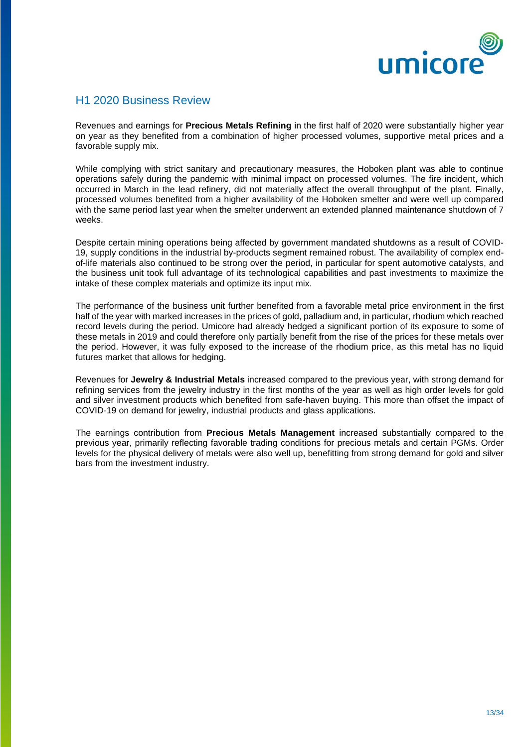

#### H1 2020 Business Review

Revenues and earnings for **Precious Metals Refining** in the first half of 2020 were substantially higher year on year as they benefited from a combination of higher processed volumes, supportive metal prices and a favorable supply mix.

While complying with strict sanitary and precautionary measures, the Hoboken plant was able to continue operations safely during the pandemic with minimal impact on processed volumes. The fire incident, which occurred in March in the lead refinery, did not materially affect the overall throughput of the plant. Finally, processed volumes benefited from a higher availability of the Hoboken smelter and were well up compared with the same period last year when the smelter underwent an extended planned maintenance shutdown of 7 weeks.

Despite certain mining operations being affected by government mandated shutdowns as a result of COVID-19, supply conditions in the industrial by-products segment remained robust. The availability of complex endof-life materials also continued to be strong over the period, in particular for spent automotive catalysts, and the business unit took full advantage of its technological capabilities and past investments to maximize the intake of these complex materials and optimize its input mix.

The performance of the business unit further benefited from a favorable metal price environment in the first half of the year with marked increases in the prices of gold, palladium and, in particular, rhodium which reached record levels during the period. Umicore had already hedged a significant portion of its exposure to some of these metals in 2019 and could therefore only partially benefit from the rise of the prices for these metals over the period. However, it was fully exposed to the increase of the rhodium price, as this metal has no liquid futures market that allows for hedging.

Revenues for **Jewelry & Industrial Metals** increased compared to the previous year, with strong demand for refining services from the jewelry industry in the first months of the year as well as high order levels for gold and silver investment products which benefited from safe-haven buying. This more than offset the impact of COVID-19 on demand for jewelry, industrial products and glass applications.

The earnings contribution from **Precious Metals Management** increased substantially compared to the previous year, primarily reflecting favorable trading conditions for precious metals and certain PGMs. Order levels for the physical delivery of metals were also well up, benefitting from strong demand for gold and silver bars from the investment industry.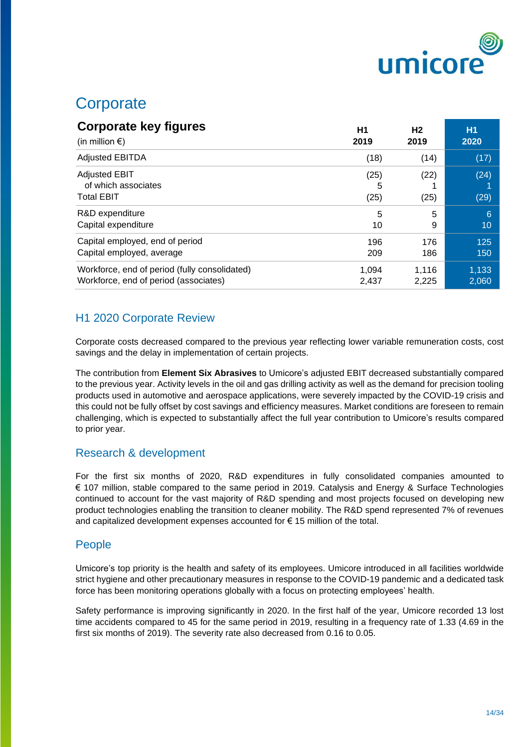

# **Corporate**

| <b>Corporate key figures</b>                                     | H <sub>1</sub>    | Н2           | <b>H1</b>    |
|------------------------------------------------------------------|-------------------|--------------|--------------|
| (in million $\epsilon$ )                                         | 2019              | 2019         | 2020         |
| <b>Adjusted EBITDA</b>                                           | (18)              | (14)         | (17)         |
| <b>Adjusted EBIT</b><br>of which associates<br><b>Total EBIT</b> | (25)<br>5<br>(25) | (22)<br>(25) | (24)<br>(29) |
| R&D expenditure                                                  | 5                 | 5            | 6            |
| Capital expenditure                                              | 10                | 9            | 10           |
| Capital employed, end of period                                  | 196               | 176          | 125          |
| Capital employed, average                                        | 209               | 186          | 150          |
| Workforce, end of period (fully consolidated)                    | 1.094             | 1.116        | 1,133        |
| Workforce, end of period (associates)                            | 2,437             | 2,225        | 2,060        |

## H1 2020 Corporate Review

Corporate costs decreased compared to the previous year reflecting lower variable remuneration costs, cost savings and the delay in implementation of certain projects.

The contribution from **Element Six Abrasives** to Umicore's adjusted EBIT decreased substantially compared to the previous year. Activity levels in the oil and gas drilling activity as well as the demand for precision tooling products used in automotive and aerospace applications, were severely impacted by the COVID-19 crisis and this could not be fully offset by cost savings and efficiency measures. Market conditions are foreseen to remain challenging, which is expected to substantially affect the full year contribution to Umicore's results compared to prior year.

## Research & development

For the first six months of 2020, R&D expenditures in fully consolidated companies amounted to € 107 million, stable compared to the same period in 2019. Catalysis and Energy & Surface Technologies continued to account for the vast majority of R&D spending and most projects focused on developing new product technologies enabling the transition to cleaner mobility. The R&D spend represented 7% of revenues and capitalized development expenses accounted for  $\epsilon$  15 million of the total.

## People

Umicore's top priority is the health and safety of its employees. Umicore introduced in all facilities worldwide strict hygiene and other precautionary measures in response to the COVID-19 pandemic and a dedicated task force has been monitoring operations globally with a focus on protecting employees' health.

Safety performance is improving significantly in 2020. In the first half of the year, Umicore recorded 13 lost time accidents compared to 45 for the same period in 2019, resulting in a frequency rate of 1.33 (4.69 in the first six months of 2019). The severity rate also decreased from 0.16 to 0.05.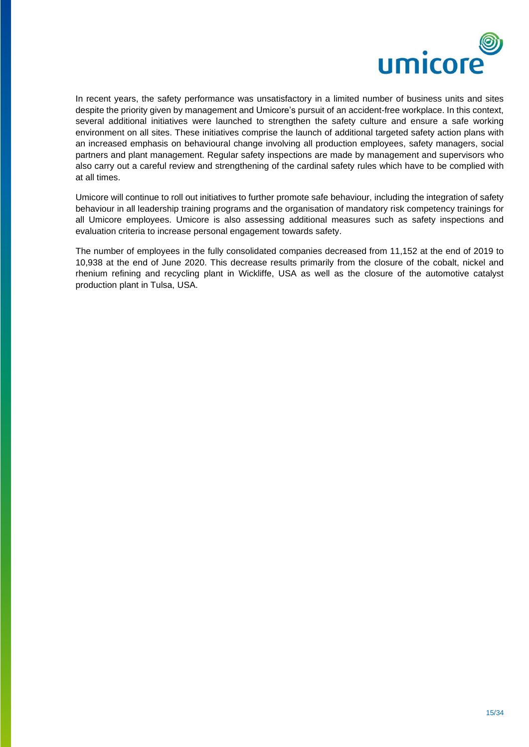

In recent years, the safety performance was unsatisfactory in a limited number of business units and sites despite the priority given by management and Umicore's pursuit of an accident-free workplace. In this context, several additional initiatives were launched to strengthen the safety culture and ensure a safe working environment on all sites. These initiatives comprise the launch of additional targeted safety action plans with an increased emphasis on behavioural change involving all production employees, safety managers, social partners and plant management. Regular safety inspections are made by management and supervisors who also carry out a careful review and strengthening of the cardinal safety rules which have to be complied with at all times.

Umicore will continue to roll out initiatives to further promote safe behaviour, including the integration of safety behaviour in all leadership training programs and the organisation of mandatory risk competency trainings for all Umicore employees. Umicore is also assessing additional measures such as safety inspections and evaluation criteria to increase personal engagement towards safety.

The number of employees in the fully consolidated companies decreased from 11,152 at the end of 2019 to 10,938 at the end of June 2020. This decrease results primarily from the closure of the cobalt, nickel and rhenium refining and recycling plant in Wickliffe, USA as well as the closure of the automotive catalyst production plant in Tulsa, USA.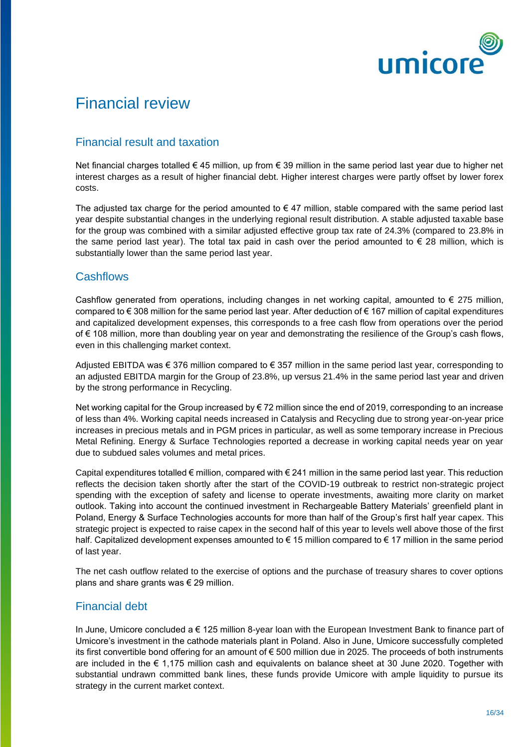

# Financial review

## Financial result and taxation

Net financial charges totalled € 45 million, up from € 39 million in the same period last year due to higher net interest charges as a result of higher financial debt. Higher interest charges were partly offset by lower forex costs.

The adjusted tax charge for the period amounted to  $\epsilon$  47 million, stable compared with the same period last year despite substantial changes in the underlying regional result distribution. A stable adjusted taxable base for the group was combined with a similar adjusted effective group tax rate of 24.3% (compared to 23.8% in the same period last year). The total tax paid in cash over the period amounted to  $\epsilon$  28 million, which is substantially lower than the same period last year.

## **Cashflows**

Cashflow generated from operations, including changes in net working capital, amounted to  $\epsilon$  275 million, compared to € 308 million for the same period last year. After deduction of € 167 million of capital expenditures and capitalized development expenses, this corresponds to a free cash flow from operations over the period of € 108 million, more than doubling year on year and demonstrating the resilience of the Group's cash flows, even in this challenging market context.

Adjusted EBITDA was € 376 million compared to € 357 million in the same period last year, corresponding to an adjusted EBITDA margin for the Group of 23.8%, up versus 21.4% in the same period last year and driven by the strong performance in Recycling.

Net working capital for the Group increased by €72 million since the end of 2019, corresponding to an increase of less than 4%. Working capital needs increased in Catalysis and Recycling due to strong year-on-year price increases in precious metals and in PGM prices in particular, as well as some temporary increase in Precious Metal Refining. Energy & Surface Technologies reported a decrease in working capital needs year on year due to subdued sales volumes and metal prices.

Capital expenditures totalled  $\epsilon$  million, compared with  $\epsilon$  241 million in the same period last year. This reduction reflects the decision taken shortly after the start of the COVID-19 outbreak to restrict non-strategic project spending with the exception of safety and license to operate investments, awaiting more clarity on market outlook. Taking into account the continued investment in Rechargeable Battery Materials' greenfield plant in Poland, Energy & Surface Technologies accounts for more than half of the Group's first half year capex. This strategic project is expected to raise capex in the second half of this year to levels well above those of the first half. Capitalized development expenses amounted to € 15 million compared to € 17 million in the same period of last year.

The net cash outflow related to the exercise of options and the purchase of treasury shares to cover options plans and share grants was  $\epsilon$  29 million.

## Financial debt

In June, Umicore concluded a € 125 million 8-year loan with the European Investment Bank to finance part of Umicore's investment in the cathode materials plant in Poland. Also in June, Umicore successfully completed its first convertible bond offering for an amount of € 500 million due in 2025. The proceeds of both instruments are included in the € 1,175 million cash and equivalents on balance sheet at 30 June 2020. Together with substantial undrawn committed bank lines, these funds provide Umicore with ample liquidity to pursue its strategy in the current market context.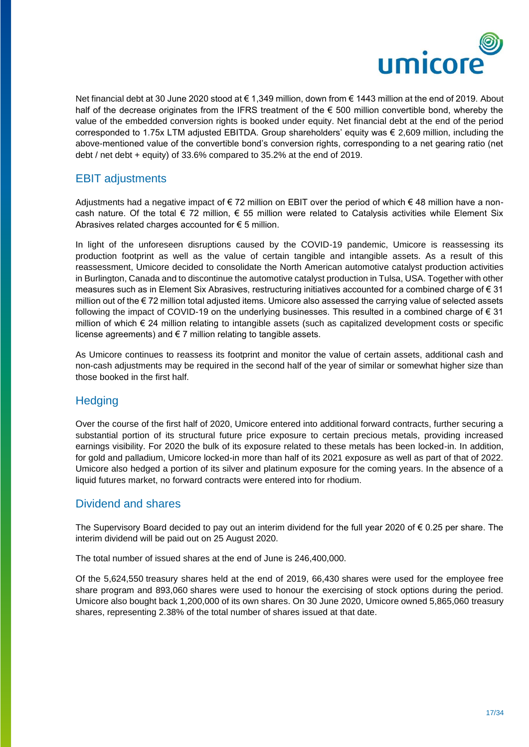

Net financial debt at 30 June 2020 stood at € 1,349 million, down from € 1443 million at the end of 2019. About half of the decrease originates from the IFRS treatment of the  $\epsilon$  500 million convertible bond, whereby the value of the embedded conversion rights is booked under equity. Net financial debt at the end of the period corresponded to 1.75x LTM adjusted EBITDA. Group shareholders' equity was € 2,609 million, including the above-mentioned value of the convertible bond's conversion rights, corresponding to a net gearing ratio (net debt / net debt + equity) of 33.6% compared to 35.2% at the end of 2019.

#### EBIT adjustments

Adjustments had a negative impact of  $\epsilon$  72 million on EBIT over the period of which  $\epsilon$  48 million have a noncash nature. Of the total  $\epsilon$  72 million,  $\epsilon$  55 million were related to Catalysis activities while Element Six Abrasives related charges accounted for  $\epsilon$  5 million.

In light of the unforeseen disruptions caused by the COVID-19 pandemic, Umicore is reassessing its production footprint as well as the value of certain tangible and intangible assets. As a result of this reassessment, Umicore decided to consolidate the North American automotive catalyst production activities in Burlington, Canada and to discontinue the automotive catalyst production in Tulsa, USA. Together with other measures such as in Element Six Abrasives, restructuring initiatives accounted for a combined charge of € 31 million out of the € 72 million total adjusted items. Umicore also assessed the carrying value of selected assets following the impact of COVID-19 on the underlying businesses. This resulted in a combined charge of  $\epsilon$  31 million of which € 24 million relating to intangible assets (such as capitalized development costs or specific license agreements) and  $\epsilon$  7 million relating to tangible assets.

As Umicore continues to reassess its footprint and monitor the value of certain assets, additional cash and non-cash adjustments may be required in the second half of the year of similar or somewhat higher size than those booked in the first half.

## **Hedging**

Over the course of the first half of 2020, Umicore entered into additional forward contracts, further securing a substantial portion of its structural future price exposure to certain precious metals, providing increased earnings visibility. For 2020 the bulk of its exposure related to these metals has been locked-in. In addition, for gold and palladium, Umicore locked-in more than half of its 2021 exposure as well as part of that of 2022. Umicore also hedged a portion of its silver and platinum exposure for the coming years. In the absence of a liquid futures market, no forward contracts were entered into for rhodium.

#### Dividend and shares

The Supervisory Board decided to pay out an interim dividend for the full year 2020 of € 0.25 per share. The interim dividend will be paid out on 25 August 2020.

The total number of issued shares at the end of June is 246,400,000.

Of the 5,624,550 treasury shares held at the end of 2019, 66,430 shares were used for the employee free share program and 893,060 shares were used to honour the exercising of stock options during the period. Umicore also bought back 1,200,000 of its own shares. On 30 June 2020, Umicore owned 5,865,060 treasury shares, representing 2.38% of the total number of shares issued at that date.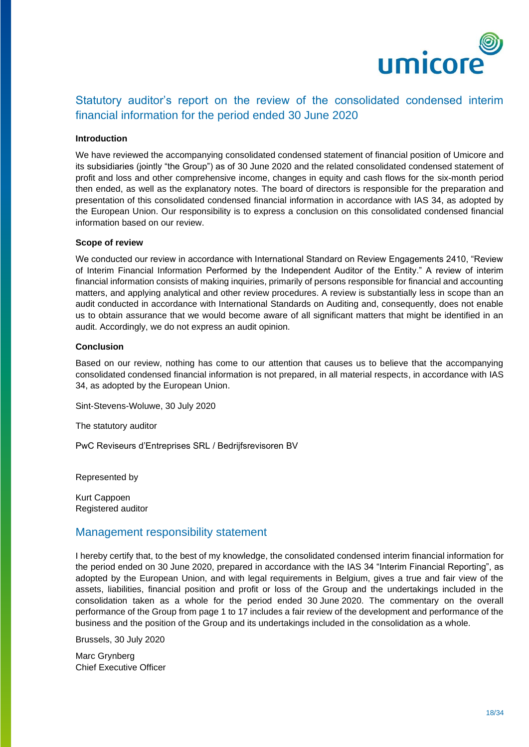

## Statutory auditor's report on the review of the consolidated condensed interim financial information for the period ended 30 June 2020

#### **Introduction**

We have reviewed the accompanying consolidated condensed statement of financial position of Umicore and its subsidiaries (jointly "the Group") as of 30 June 2020 and the related consolidated condensed statement of profit and loss and other comprehensive income, changes in equity and cash flows for the six-month period then ended, as well as the explanatory notes. The board of directors is responsible for the preparation and presentation of this consolidated condensed financial information in accordance with IAS 34, as adopted by the European Union. Our responsibility is to express a conclusion on this consolidated condensed financial information based on our review.

#### **Scope of review**

We conducted our review in accordance with International Standard on Review Engagements 2410, "Review of Interim Financial Information Performed by the Independent Auditor of the Entity." A review of interim financial information consists of making inquiries, primarily of persons responsible for financial and accounting matters, and applying analytical and other review procedures. A review is substantially less in scope than an audit conducted in accordance with International Standards on Auditing and, consequently, does not enable us to obtain assurance that we would become aware of all significant matters that might be identified in an audit. Accordingly, we do not express an audit opinion.

#### **Conclusion**

Based on our review, nothing has come to our attention that causes us to believe that the accompanying consolidated condensed financial information is not prepared, in all material respects, in accordance with IAS 34, as adopted by the European Union.

Sint-Stevens-Woluwe, 30 July 2020

The statutory auditor

PwC Reviseurs d'Entreprises SRL / Bedrijfsrevisoren BV

Represented by

Kurt Cappoen Registered auditor

#### Management responsibility statement

I hereby certify that, to the best of my knowledge, the consolidated condensed interim financial information for the period ended on 30 June 2020, prepared in accordance with the IAS 34 "Interim Financial Reporting", as adopted by the European Union, and with legal requirements in Belgium, gives a true and fair view of the assets, liabilities, financial position and profit or loss of the Group and the undertakings included in the consolidation taken as a whole for the period ended 30 June 2020. The commentary on the overall performance of the Group from page 1 to 17 includes a fair review of the development and performance of the business and the position of the Group and its undertakings included in the consolidation as a whole.

Brussels, 30 July 2020

Marc Grynberg Chief Executive Officer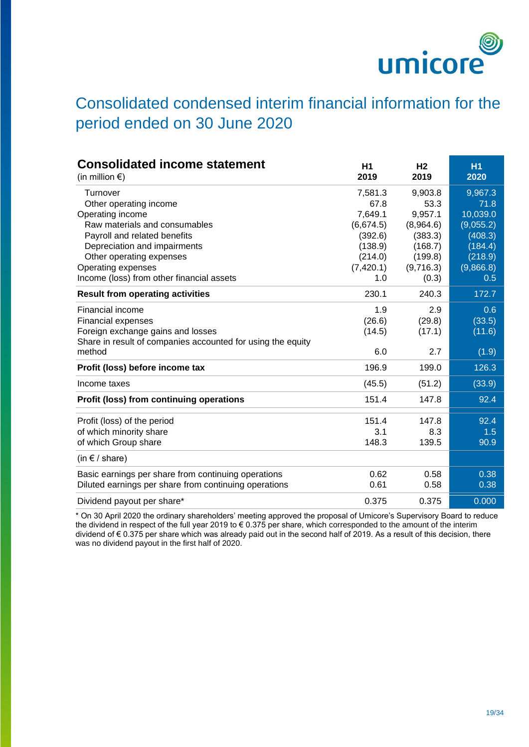

# Consolidated condensed interim financial information for the period ended on 30 June 2020

| <b>Consolidated income statement</b><br>(in million $\epsilon$ ) | H1<br>2019 | H <sub>2</sub><br>2019 | <b>H1</b><br>2020 |
|------------------------------------------------------------------|------------|------------------------|-------------------|
| Turnover                                                         | 7,581.3    | 9,903.8                | 9,967.3           |
| Other operating income                                           | 67.8       | 53.3                   | 71.8              |
| Operating income                                                 | 7,649.1    | 9,957.1                | 10,039.0          |
| Raw materials and consumables                                    | (6,674.5)  | (8,964.6)              | (9,055.2)         |
| Payroll and related benefits                                     | (392.6)    | (383.3)                | (408.3)           |
| Depreciation and impairments                                     | (138.9)    | (168.7)                | (184.4)           |
| Other operating expenses                                         | (214.0)    | (199.8)                | (218.9)           |
| Operating expenses                                               | (7, 420.1) | (9,716.3)              | (9,866.8)         |
| Income (loss) from other financial assets                        | 1.0        | (0.3)                  | 0.5               |
| <b>Result from operating activities</b>                          | 230.1      | 240.3                  | 172.7             |
| <b>Financial income</b>                                          | 1.9        | 2.9                    | 0.6               |
| Financial expenses                                               | (26.6)     | (29.8)                 | (33.5)            |
| Foreign exchange gains and losses                                | (14.5)     | (17.1)                 | (11.6)            |
| Share in result of companies accounted for using the equity      |            |                        |                   |
| method                                                           | 6.0        | 2.7                    | (1.9)             |
| Profit (loss) before income tax                                  | 196.9      | 199.0                  | 126.3             |
| Income taxes                                                     | (45.5)     | (51.2)                 | (33.9)            |
| Profit (loss) from continuing operations                         | 151.4      | 147.8                  | 92.4              |
| Profit (loss) of the period                                      | 151.4      | 147.8                  | 92.4              |
| of which minority share                                          | 3.1        | 8.3                    | 1.5               |
| of which Group share                                             | 148.3      | 139.5                  | 90.9              |
| (in $f$ / share)                                                 |            |                        |                   |
| Basic earnings per share from continuing operations              | 0.62       | 0.58                   | 0.38              |
| Diluted earnings per share from continuing operations            | 0.61       | 0.58                   | 0.38              |
| Dividend payout per share*                                       | 0.375      | 0.375                  | 0.000             |

\* On 30 April 2020 the ordinary shareholders' meeting approved the proposal of Umicore's Supervisory Board to reduce the dividend in respect of the full year 2019 to € 0.375 per share, which corresponded to the amount of the interim dividend of € 0.375 per share which was already paid out in the second half of 2019. As a result of this decision, there was no dividend payout in the first half of 2020.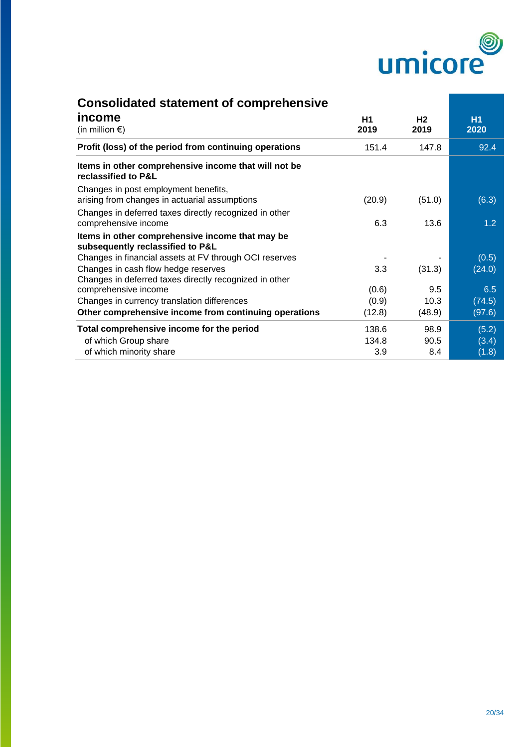

| <b>Consolidated statement of comprehensive</b>                                                |            |            |                   |
|-----------------------------------------------------------------------------------------------|------------|------------|-------------------|
| income<br>(in million $\epsilon$ )                                                            | H1<br>2019 | H2<br>2019 | <b>H1</b><br>2020 |
| Profit (loss) of the period from continuing operations                                        | 151.4      | 147.8      | 92.4              |
| Items in other comprehensive income that will not be<br>reclassified to P&L                   |            |            |                   |
| Changes in post employment benefits,<br>arising from changes in actuarial assumptions         | (20.9)     | (51.0)     | (6.3)             |
| Changes in deferred taxes directly recognized in other<br>comprehensive income                | 6.3        | 13.6       | 1.2 <sub>2</sub>  |
| Items in other comprehensive income that may be<br>subsequently reclassified to P&L           |            |            |                   |
| Changes in financial assets at FV through OCI reserves                                        |            |            | (0.5)             |
| Changes in cash flow hedge reserves<br>Changes in deferred taxes directly recognized in other | 3.3        | (31.3)     | (24.0)            |
| comprehensive income                                                                          | (0.6)      | 9.5        | 6.5               |
| Changes in currency translation differences                                                   | (0.9)      | 10.3       | (74.5)            |
| Other comprehensive income from continuing operations                                         | (12.8)     | (48.9)     | (97.6)            |
| Total comprehensive income for the period                                                     | 138.6      | 98.9       | (5.2)             |
| of which Group share                                                                          | 134.8      | 90.5       | (3.4)             |
| of which minority share                                                                       | 3.9        | 8.4        | (1.8)             |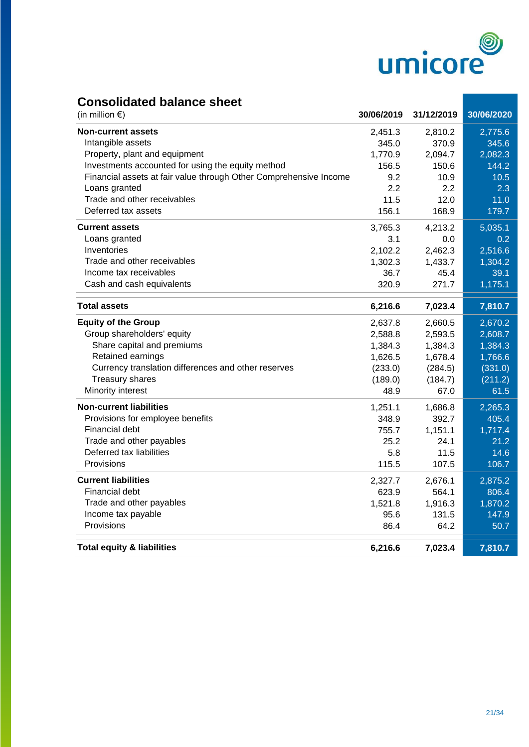

## **Consolidated balance sheet**

| (in million $\epsilon$ )                                          | 30/06/2019 | 31/12/2019 | 30/06/2020 |
|-------------------------------------------------------------------|------------|------------|------------|
| <b>Non-current assets</b>                                         | 2,451.3    | 2,810.2    | 2,775.6    |
| Intangible assets                                                 | 345.0      | 370.9      | 345.6      |
| Property, plant and equipment                                     | 1,770.9    | 2,094.7    | 2,082.3    |
| Investments accounted for using the equity method                 | 156.5      | 150.6      | 144.2      |
| Financial assets at fair value through Other Comprehensive Income | 9.2        | 10.9       | 10.5       |
| Loans granted                                                     | 2.2        | 2.2        | 2.3        |
| Trade and other receivables                                       | 11.5       | 12.0       | 11.0       |
| Deferred tax assets                                               | 156.1      | 168.9      | 179.7      |
| <b>Current assets</b>                                             | 3,765.3    | 4,213.2    | 5,035.1    |
| Loans granted                                                     | 3.1        | 0.0        | 0.2        |
| Inventories                                                       | 2,102.2    | 2,462.3    | 2,516.6    |
| Trade and other receivables                                       | 1,302.3    | 1,433.7    | 1,304.2    |
| Income tax receivables                                            | 36.7       | 45.4       | 39.1       |
| Cash and cash equivalents                                         | 320.9      | 271.7      | 1,175.1    |
| <b>Total assets</b>                                               | 6,216.6    | 7,023.4    | 7,810.7    |
| <b>Equity of the Group</b>                                        | 2,637.8    | 2,660.5    | 2,670.2    |
| Group shareholders' equity                                        | 2,588.8    | 2,593.5    | 2,608.7    |
| Share capital and premiums                                        | 1,384.3    | 1,384.3    | 1,384.3    |
| Retained earnings                                                 | 1,626.5    | 1,678.4    | 1,766.6    |
| Currency translation differences and other reserves               | (233.0)    | (284.5)    | (331.0)    |
| <b>Treasury shares</b>                                            | (189.0)    | (184.7)    | (211.2)    |
| Minority interest                                                 | 48.9       | 67.0       | 61.5       |
| <b>Non-current liabilities</b>                                    | 1,251.1    | 1,686.8    | 2,265.3    |
| Provisions for employee benefits                                  | 348.9      | 392.7      | 405.4      |
| Financial debt                                                    | 755.7      | 1,151.1    | 1,717.4    |
| Trade and other payables                                          | 25.2       | 24.1       | 21.2       |
| Deferred tax liabilities                                          | 5.8        | 11.5       | 14.6       |
| Provisions                                                        | 115.5      | 107.5      | 106.7      |
| <b>Current liabilities</b>                                        | 2,327.7    | 2,676.1    | 2,875.2    |
| Financial debt                                                    | 623.9      | 564.1      | 806.4      |
| Trade and other payables                                          | 1,521.8    | 1,916.3    | 1,870.2    |
| Income tax payable                                                | 95.6       | 131.5      | 147.9      |
| Provisions                                                        | 86.4       | 64.2       | 50.7       |
| <b>Total equity &amp; liabilities</b>                             | 6,216.6    | 7,023.4    | 7,810.7    |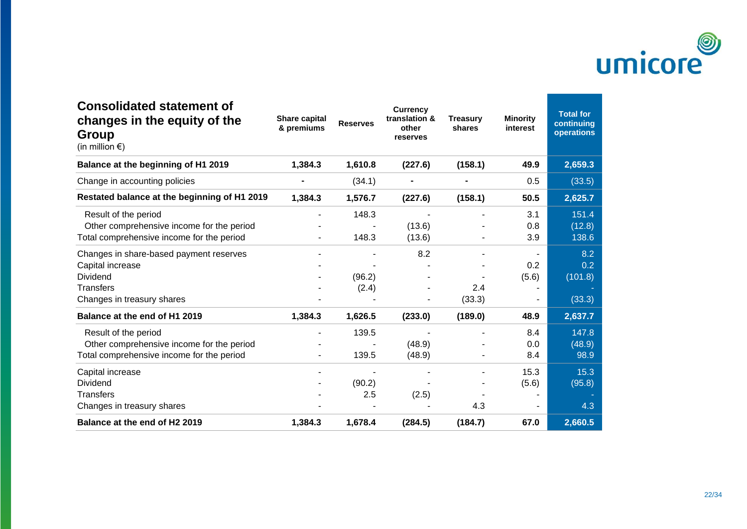

| <b>Consolidated statement of</b><br>changes in the equity of the<br>Group<br>(in million $\epsilon$ )          | Share capital<br>& premiums | <b>Reserves</b> | <b>Currency</b><br>translation &<br>other<br>reserves | <b>Treasury</b><br>shares | <b>Minority</b><br>interest | <b>Total for</b><br>continuing<br>operations |
|----------------------------------------------------------------------------------------------------------------|-----------------------------|-----------------|-------------------------------------------------------|---------------------------|-----------------------------|----------------------------------------------|
| Balance at the beginning of H1 2019                                                                            | 1,384.3                     | 1,610.8         | (227.6)                                               | (158.1)                   | 49.9                        | 2,659.3                                      |
| Change in accounting policies                                                                                  |                             | (34.1)          |                                                       |                           | 0.5                         | (33.5)                                       |
| Restated balance at the beginning of H1 2019                                                                   | 1,384.3                     | 1,576.7         | (227.6)                                               | (158.1)                   | 50.5                        | 2,625.7                                      |
| Result of the period                                                                                           |                             | 148.3           |                                                       |                           | 3.1                         | 151.4                                        |
| Other comprehensive income for the period<br>Total comprehensive income for the period                         |                             | 148.3           | (13.6)<br>(13.6)                                      |                           | 0.8<br>3.9                  | (12.8)<br>138.6                              |
| Changes in share-based payment reserves<br>Capital increase<br>Dividend                                        |                             | (96.2)          | 8.2                                                   |                           | 0.2<br>(5.6)                | 8.2<br>0.2<br>(101.8)                        |
| <b>Transfers</b><br>Changes in treasury shares                                                                 |                             | (2.4)           |                                                       | 2.4<br>(33.3)             |                             | (33.3)                                       |
| Balance at the end of H1 2019                                                                                  | 1,384.3                     | 1,626.5         | (233.0)                                               | (189.0)                   | 48.9                        | 2,637.7                                      |
| Result of the period<br>Other comprehensive income for the period<br>Total comprehensive income for the period |                             | 139.5<br>139.5  | (48.9)<br>(48.9)                                      |                           | 8.4<br>0.0<br>8.4           | 147.8<br>(48.9)<br>98.9                      |
| Capital increase<br>Dividend<br><b>Transfers</b>                                                               |                             | (90.2)<br>2.5   | (2.5)                                                 |                           | 15.3<br>(5.6)               | 15.3<br>(95.8)                               |
| Changes in treasury shares                                                                                     |                             |                 |                                                       | 4.3                       |                             | 4.3                                          |
| Balance at the end of H2 2019                                                                                  | 1,384.3                     | 1,678.4         | (284.5)                                               | (184.7)                   | 67.0                        | 2,660.5                                      |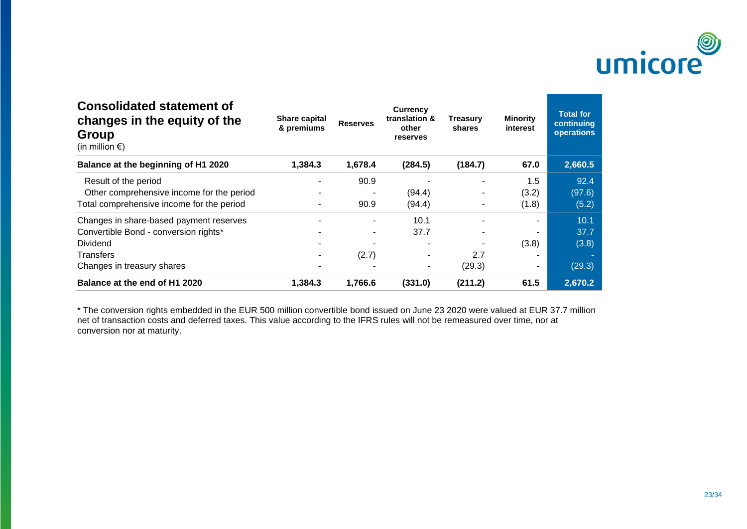

| <b>Consolidated statement of</b><br>changes in the equity of the<br>Group<br>(in million $\epsilon$ ) | Share capital<br>& premiums | <b>Reserves</b> | <b>Currency</b><br>translation &<br>other<br>reserves | Treasury<br>shares | <b>Minority</b><br>interest | <b>Total for</b><br>continuing<br>operations |
|-------------------------------------------------------------------------------------------------------|-----------------------------|-----------------|-------------------------------------------------------|--------------------|-----------------------------|----------------------------------------------|
| Balance at the beginning of H1 2020                                                                   | 1,384.3                     | 1,678.4         | (284.5)                                               | (184.7)            | 67.0                        | 2,660.5                                      |
| Result of the period                                                                                  |                             | 90.9            |                                                       |                    | 1.5                         | 92.4                                         |
| Other comprehensive income for the period                                                             |                             |                 | (94.4)                                                |                    | (3.2)                       | (97.6)                                       |
| Total comprehensive income for the period                                                             |                             | 90.9            | (94.4)                                                | $\overline{a}$     | (1.8)                       | (5.2)                                        |
| Changes in share-based payment reserves                                                               |                             | ٠               | 10.1                                                  |                    |                             | 10.1                                         |
| Convertible Bond - conversion rights*                                                                 |                             |                 | 37.7                                                  |                    |                             | 37.7                                         |
| <b>Dividend</b>                                                                                       |                             |                 |                                                       |                    | (3.8)                       | (3.8)                                        |
| <b>Transfers</b>                                                                                      |                             | (2.7)           | ٠                                                     | 2.7                |                             |                                              |
| Changes in treasury shares                                                                            |                             |                 | $\sim$                                                | (29.3)             | ۰.                          | (29.3)                                       |
| Balance at the end of H1 2020                                                                         | 1,384.3                     | 1,766.6         | (331.0)                                               | (211.2)            | 61.5                        | 2,670.2                                      |

\* The conversion rights embedded in the EUR 500 million convertible bond issued on June 23 2020 were valued at EUR 37.7 million net of transaction costs and deferred taxes. This value according to the IFRS rules will not be remeasured over time, nor at conversion nor at maturity.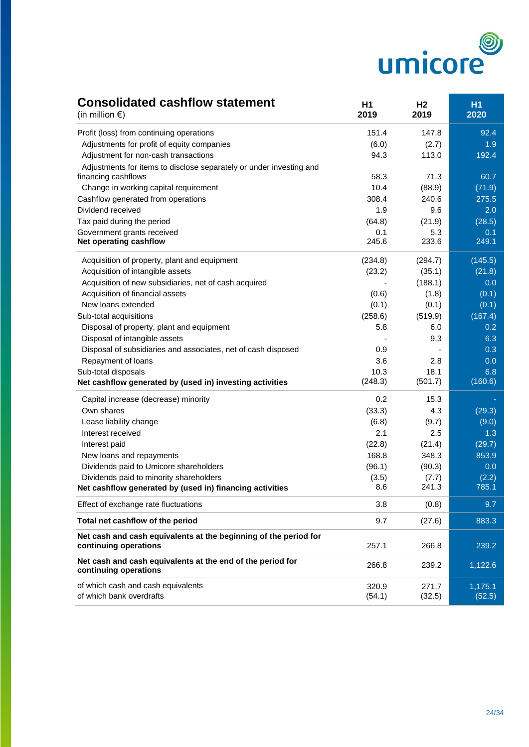

## **Consolidated cashflow statement H1 H1 H2 H1**

| (in million $\epsilon$ )                                                                   | 2019            | 2019            | 2020              |
|--------------------------------------------------------------------------------------------|-----------------|-----------------|-------------------|
| Profit (loss) from continuing operations                                                   | 151.4           | 147.8           | 92.4              |
| Adjustments for profit of equity companies                                                 | (6.0)           | (2.7)           | 1.9               |
| Adjustment for non-cash transactions                                                       | 94.3            | 113.0           | 192.4             |
| Adjustments for items to disclose separately or under investing and<br>financing cashflows | 58.3            | 71.3            | 60.7              |
| Change in working capital requirement                                                      | 10.4            | (88.9)          | (71.9)            |
| Cashflow generated from operations                                                         | 308.4           | 240.6           | 275.5             |
| Dividend received                                                                          | 1.9             | 9.6             | 2.0               |
| Tax paid during the period                                                                 | (64.8)          | (21.9)          | (28.5)            |
| Government grants received                                                                 | 0.1             | 5.3             | 0.1               |
| Net operating cashflow                                                                     | 245.6           | 233.6           | 249.1             |
| Acquisition of property, plant and equipment                                               | (234.8)         | (294.7)         | (145.5)           |
| Acquisition of intangible assets                                                           | (23.2)          | (35.1)          | (21.8)            |
| Acquisition of new subsidiaries, net of cash acquired                                      |                 | (188.1)         | 0.0               |
| Acquisition of financial assets                                                            | (0.6)           | (1.8)           | (0.1)             |
| New loans extended                                                                         | (0.1)           | (0.1)           | (0.1)             |
| Sub-total acquisitions                                                                     | (258.6)         | (519.9)         | (167.4)           |
| Disposal of property, plant and equipment                                                  | 5.8             | 6.0             | 0.2               |
| Disposal of intangible assets                                                              |                 | 9.3             | 6.3               |
| Disposal of subsidiaries and associates, net of cash disposed                              | 0.9             |                 | 0.3               |
| Repayment of loans                                                                         | 3.6             | 2.8             | 0.0               |
| Sub-total disposals                                                                        | 10.3            | 18.1            | 6.8               |
| Net cashflow generated by (used in) investing activities                                   | (248.3)         | (501.7)         | (160.6)           |
| Capital increase (decrease) minority                                                       | 0.2             | 15.3            |                   |
| Own shares                                                                                 | (33.3)          | 4.3             | (29.3)            |
| Lease liability change                                                                     | (6.8)           | (9.7)           | (9.0)             |
| Interest received                                                                          | 2.1             | 2.5             | 1.3               |
| Interest paid                                                                              | (22.8)          | (21.4)          | (29.7)            |
| New loans and repayments                                                                   | 168.8           | 348.3           | 853.9             |
| Dividends paid to Umicore shareholders                                                     | (96.1)          | (90.3)          | 0.0               |
| Dividends paid to minority shareholders                                                    | (3.5)           | (7.7)           | (2.2)<br>785.1    |
| Net cashflow generated by (used in) financing activities                                   | 8.6             | 241.3           |                   |
| Effect of exchange rate fluctuations                                                       | 3.8             | (0.8)           | 9.7               |
| Total net cashflow of the period                                                           | 9.7             | (27.6)          | 883.3             |
| Net cash and cash equivalents at the beginning of the period for<br>continuing operations  | 257.1           | 266.8           | 239.2             |
| Net cash and cash equivalents at the end of the period for<br>continuing operations        | 266.8           | 239.2           | 1,122.6           |
| of which cash and cash equivalents<br>of which bank overdrafts                             | 320.9<br>(54.1) | 271.7<br>(32.5) | 1,175.1<br>(52.5) |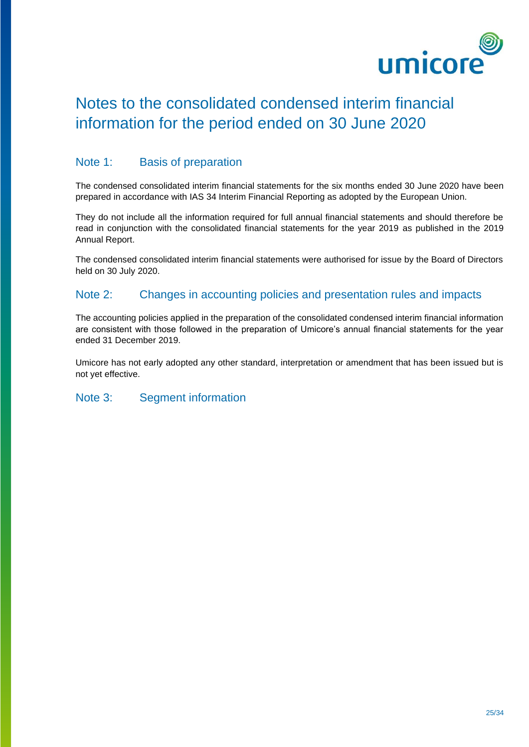

# Notes to the consolidated condensed interim financial information for the period ended on 30 June 2020

#### Note 1: Basis of preparation

The condensed consolidated interim financial statements for the six months ended 30 June 2020 have been prepared in accordance with IAS 34 Interim Financial Reporting as adopted by the European Union.

They do not include all the information required for full annual financial statements and should therefore be read in conjunction with the consolidated financial statements for the year 2019 as published in the 2019 Annual Report.

The condensed consolidated interim financial statements were authorised for issue by the Board of Directors held on 30 July 2020.

#### Note 2: Changes in accounting policies and presentation rules and impacts

The accounting policies applied in the preparation of the consolidated condensed interim financial information are consistent with those followed in the preparation of Umicore's annual financial statements for the year ended 31 December 2019.

Umicore has not early adopted any other standard, interpretation or amendment that has been issued but is not yet effective.

#### Note 3: Segment information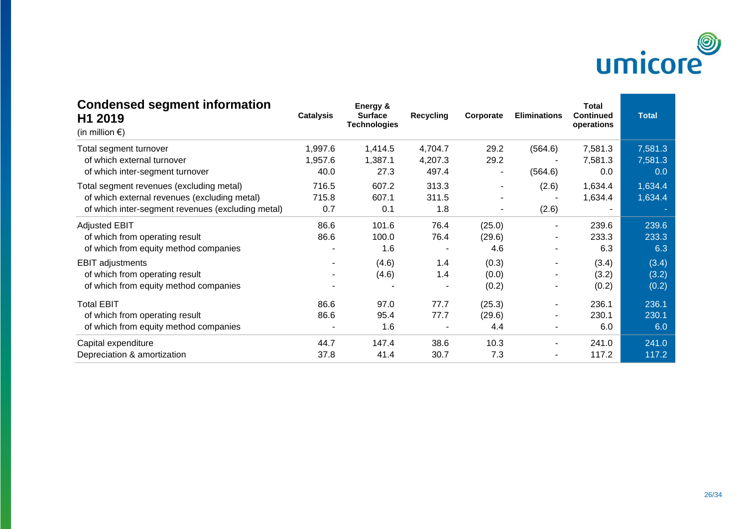

| <b>Condensed segment information</b><br>H1 2019<br>(in million $\epsilon$ ) | <b>Catalysis</b>         | Energy &<br><b>Surface</b><br><b>Technologies</b> | <b>Recycling</b> | Corporate | <b>Eliminations</b> | <b>Total</b><br><b>Continued</b><br>operations | <b>Total</b> |
|-----------------------------------------------------------------------------|--------------------------|---------------------------------------------------|------------------|-----------|---------------------|------------------------------------------------|--------------|
| Total segment turnover                                                      | 1,997.6                  | 1,414.5                                           | 4,704.7          | 29.2      | (564.6)             | 7,581.3                                        | 7,581.3      |
| of which external turnover                                                  | 1,957.6                  | 1,387.1                                           | 4,207.3          | 29.2      |                     | 7,581.3                                        | 7,581.3      |
| of which inter-segment turnover                                             | 40.0                     | 27.3                                              | 497.4            |           | (564.6)             | 0.0                                            | 0.0          |
| Total segment revenues (excluding metal)                                    | 716.5                    | 607.2                                             | 313.3            | ۰         | (2.6)               | 1,634.4                                        | 1,634.4      |
| of which external revenues (excluding metal)                                | 715.8                    | 607.1                                             | 311.5            |           |                     | 1,634.4                                        | 1,634.4      |
| of which inter-segment revenues (excluding metal)                           | 0.7                      | 0.1                                               | 1.8              |           | (2.6)               |                                                |              |
| <b>Adjusted EBIT</b>                                                        | 86.6                     | 101.6                                             | 76.4             | (25.0)    |                     | 239.6                                          | 239.6        |
| of which from operating result                                              | 86.6                     | 100.0                                             | 76.4             | (29.6)    | ٠                   | 233.3                                          | 233.3        |
| of which from equity method companies                                       | ۰                        | 1.6                                               |                  | 4.6       |                     | 6.3                                            | 6.3          |
| <b>EBIT adjustments</b>                                                     | $\overline{\phantom{a}}$ | (4.6)                                             | 1.4              | (0.3)     | ٠                   | (3.4)                                          | (3.4)        |
| of which from operating result                                              |                          | (4.6)                                             | 1.4              | (0.0)     |                     | (3.2)                                          | (3.2)        |
| of which from equity method companies                                       |                          |                                                   |                  | (0.2)     |                     | (0.2)                                          | (0.2)        |
| <b>Total EBIT</b>                                                           | 86.6                     | 97.0                                              | 77.7             | (25.3)    |                     | 236.1                                          | 236.1        |
| of which from operating result                                              | 86.6                     | 95.4                                              | 77.7             | (29.6)    | ۰                   | 230.1                                          | 230.1        |
| of which from equity method companies                                       |                          | 1.6                                               |                  | 4.4       |                     | 6.0                                            | 6.0          |
| Capital expenditure                                                         | 44.7                     | 147.4                                             | 38.6             | 10.3      |                     | 241.0                                          | 241.0        |
| Depreciation & amortization                                                 | 37.8                     | 41.4                                              | 30.7             | 7.3       |                     | 117.2                                          | 117.2        |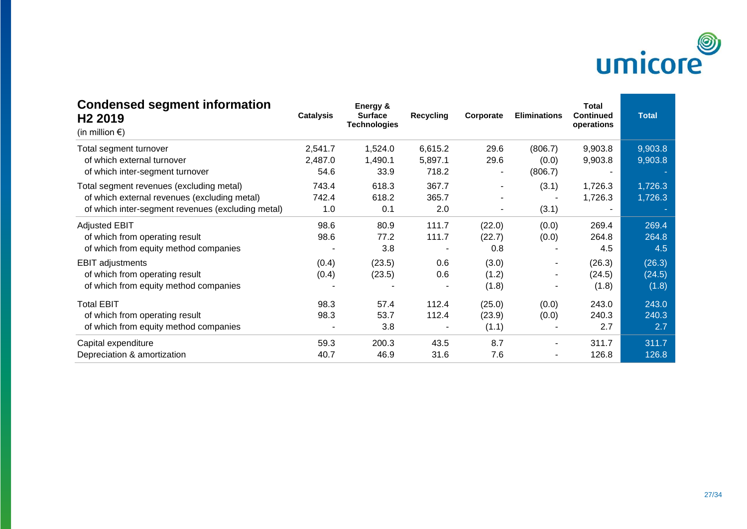

| <b>Condensed segment information</b><br>H <sub>2</sub> 2019<br>(in million $\epsilon$ ) | <b>Catalysis</b> | Energy &<br><b>Surface</b><br><b>Technologies</b> | <b>Recycling</b>         | Corporate | <b>Eliminations</b> | <b>Total</b><br><b>Continued</b><br>operations | <b>Total</b> |
|-----------------------------------------------------------------------------------------|------------------|---------------------------------------------------|--------------------------|-----------|---------------------|------------------------------------------------|--------------|
| Total segment turnover                                                                  | 2,541.7          | 1,524.0                                           | 6,615.2                  | 29.6      | (806.7)             | 9,903.8                                        | 9,903.8      |
| of which external turnover                                                              | 2,487.0          | 1,490.1                                           | 5,897.1                  | 29.6      | (0.0)               | 9,903.8                                        | 9,903.8      |
| of which inter-segment turnover                                                         | 54.6             | 33.9                                              | 718.2                    |           | (806.7)             |                                                |              |
| Total segment revenues (excluding metal)                                                | 743.4            | 618.3                                             | 367.7                    |           | (3.1)               | 1,726.3                                        | 1,726.3      |
| of which external revenues (excluding metal)                                            | 742.4            | 618.2                                             | 365.7                    |           |                     | 1,726.3                                        | 1,726.3      |
| of which inter-segment revenues (excluding metal)                                       | 1.0              | 0.1                                               | 2.0                      |           | (3.1)               |                                                |              |
| <b>Adjusted EBIT</b>                                                                    | 98.6             | 80.9                                              | 111.7                    | (22.0)    | (0.0)               | 269.4                                          | 269.4        |
| of which from operating result                                                          | 98.6             | 77.2                                              | 111.7                    | (22.7)    | (0.0)               | 264.8                                          | 264.8        |
| of which from equity method companies                                                   |                  | 3.8                                               |                          | 0.8       |                     | 4.5                                            | 4.5          |
| <b>EBIT</b> adjustments                                                                 | (0.4)            | (23.5)                                            | 0.6                      | (3.0)     |                     | (26.3)                                         | (26.3)       |
| of which from operating result                                                          | (0.4)            | (23.5)                                            | 0.6                      | (1.2)     |                     | (24.5)                                         | (24.5)       |
| of which from equity method companies                                                   |                  |                                                   |                          | (1.8)     |                     | (1.8)                                          | (1.8)        |
| <b>Total EBIT</b>                                                                       | 98.3             | 57.4                                              | 112.4                    | (25.0)    | (0.0)               | 243.0                                          | 243.0        |
| of which from operating result                                                          | 98.3             | 53.7                                              | 112.4                    | (23.9)    | (0.0)               | 240.3                                          | 240.3        |
| of which from equity method companies                                                   |                  | 3.8                                               | $\overline{\phantom{a}}$ | (1.1)     |                     | 2.7                                            | 2.7          |
| Capital expenditure                                                                     | 59.3             | 200.3                                             | 43.5                     | 8.7       |                     | 311.7                                          | 311.7        |
| Depreciation & amortization                                                             | 40.7             | 46.9                                              | 31.6                     | 7.6       |                     | 126.8                                          | 126.8        |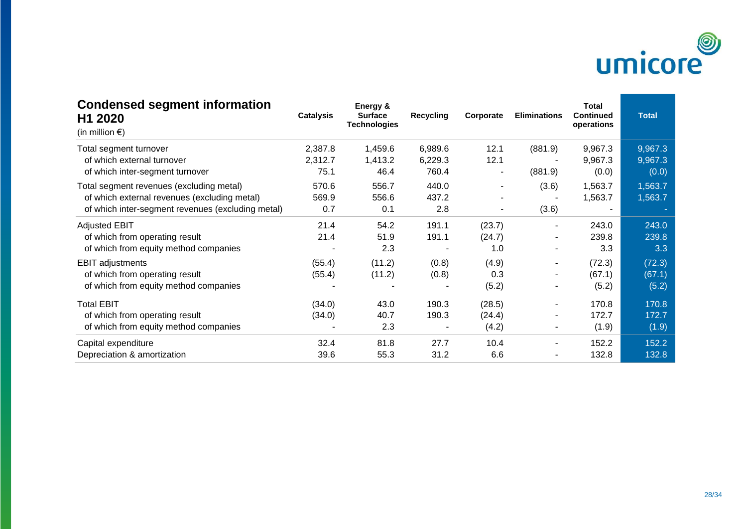

| <b>Condensed segment information</b><br>H1 2020<br>(in million $\epsilon$ ) | <b>Catalysis</b> | Energy &<br><b>Surface</b><br><b>Technologies</b> | <b>Recycling</b> | Corporate | <b>Eliminations</b> | <b>Total</b><br><b>Continued</b><br>operations | <b>Total</b> |
|-----------------------------------------------------------------------------|------------------|---------------------------------------------------|------------------|-----------|---------------------|------------------------------------------------|--------------|
| Total segment turnover                                                      | 2,387.8          | 1,459.6                                           | 6,989.6          | 12.1      | (881.9)             | 9,967.3                                        | 9,967.3      |
| of which external turnover                                                  | 2,312.7          | 1,413.2                                           | 6,229.3          | 12.1      |                     | 9,967.3                                        | 9,967.3      |
| of which inter-segment turnover                                             | 75.1             | 46.4                                              | 760.4            |           | (881.9)             | (0.0)                                          | (0.0)        |
| Total segment revenues (excluding metal)                                    | 570.6            | 556.7                                             | 440.0            | ۰         | (3.6)               | 1,563.7                                        | 1,563.7      |
| of which external revenues (excluding metal)                                | 569.9            | 556.6                                             | 437.2            |           |                     | 1,563.7                                        | 1,563.7      |
| of which inter-segment revenues (excluding metal)                           | 0.7              | 0.1                                               | 2.8              |           | (3.6)               |                                                |              |
| <b>Adjusted EBIT</b>                                                        | 21.4             | 54.2                                              | 191.1            | (23.7)    |                     | 243.0                                          | 243.0        |
| of which from operating result                                              | 21.4             | 51.9                                              | 191.1            | (24.7)    | ٠                   | 239.8                                          | 239.8        |
| of which from equity method companies                                       |                  | 2.3                                               |                  | 1.0       |                     | 3.3                                            | 3.3          |
| <b>EBIT adjustments</b>                                                     | (55.4)           | (11.2)                                            | (0.8)            | (4.9)     | ۰                   | (72.3)                                         | (72.3)       |
| of which from operating result                                              | (55.4)           | (11.2)                                            | (0.8)            | 0.3       |                     | (67.1)                                         | (67.1)       |
| of which from equity method companies                                       |                  |                                                   |                  | (5.2)     |                     | (5.2)                                          | (5.2)        |
| <b>Total EBIT</b>                                                           | (34.0)           | 43.0                                              | 190.3            | (28.5)    |                     | 170.8                                          | 170.8        |
| of which from operating result                                              | (34.0)           | 40.7                                              | 190.3            | (24.4)    | ۰                   | 172.7                                          | 172.7        |
| of which from equity method companies                                       |                  | 2.3                                               |                  | (4.2)     | ۰                   | (1.9)                                          | (1.9)        |
| Capital expenditure                                                         | 32.4             | 81.8                                              | 27.7             | 10.4      |                     | 152.2                                          | 152.2        |
| Depreciation & amortization                                                 | 39.6             | 55.3                                              | 31.2             | 6.6       |                     | 132.8                                          | 132.8        |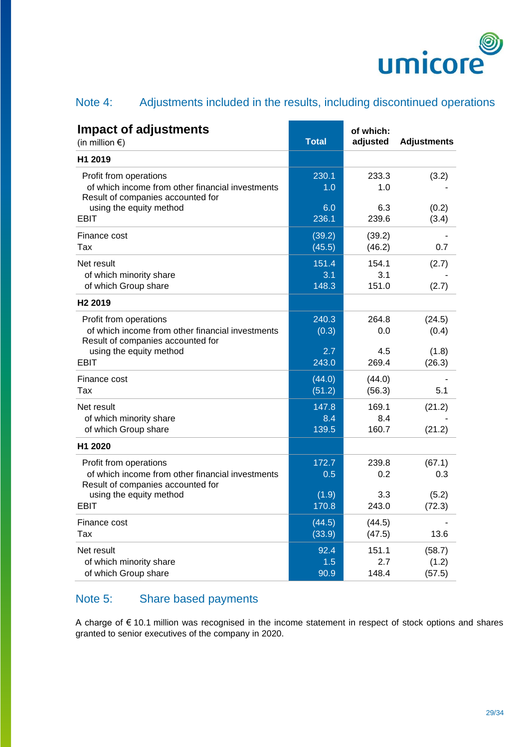

## Note 4: Adjustments included in the results, including discontinued operations

| <b>Impact of adjustments</b><br>(in million $\epsilon$ )                                                        | <b>Total</b>          | of which:<br>adjusted | <b>Adjustments</b>        |
|-----------------------------------------------------------------------------------------------------------------|-----------------------|-----------------------|---------------------------|
| H1 2019                                                                                                         |                       |                       |                           |
| Profit from operations<br>of which income from other financial investments<br>Result of companies accounted for | 230.1<br>1.0          | 233.3<br>1.0          | (3.2)                     |
| using the equity method<br>EBIT                                                                                 | 6.0<br>236.1          | 6.3<br>239.6          | (0.2)<br>(3.4)            |
| Finance cost<br>Tax                                                                                             | (39.2)<br>(45.5)      | (39.2)<br>(46.2)      | 0.7                       |
| Net result<br>of which minority share<br>of which Group share                                                   | 151.4<br>3.1<br>148.3 | 154.1<br>3.1<br>151.0 | (2.7)<br>(2.7)            |
| H <sub>2</sub> 2019                                                                                             |                       |                       |                           |
| Profit from operations<br>of which income from other financial investments<br>Result of companies accounted for | 240.3<br>(0.3)        | 264.8<br>0.0          | (24.5)<br>(0.4)           |
| using the equity method<br><b>EBIT</b>                                                                          | 2.7<br>243.0          | 4.5<br>269.4          | (1.8)<br>(26.3)           |
| Finance cost<br>Tax                                                                                             | (44.0)<br>(51.2)      | (44.0)<br>(56.3)      | 5.1                       |
| Net result<br>of which minority share<br>of which Group share                                                   | 147.8<br>8.4<br>139.5 | 169.1<br>8.4<br>160.7 | (21.2)<br>(21.2)          |
| H <sub>1</sub> 2020                                                                                             |                       |                       |                           |
| Profit from operations<br>of which income from other financial investments<br>Result of companies accounted for | 172.7<br>0.5          | 239.8<br>0.2          | (67.1)<br>0.3             |
| using the equity method<br>EBIT                                                                                 | (1.9)<br>170.8        | 3.3<br>243.0          | (5.2)<br>(72.3)           |
| Finance cost<br>Tax                                                                                             | (44.5)<br>(33.9)      | (44.5)<br>(47.5)      | 13.6                      |
| Net result<br>of which minority share<br>of which Group share                                                   | 92.4<br>1.5<br>90.9   | 151.1<br>2.7<br>148.4 | (58.7)<br>(1.2)<br>(57.5) |

## Note 5: Share based payments

A charge of € 10.1 million was recognised in the income statement in respect of stock options and shares granted to senior executives of the company in 2020.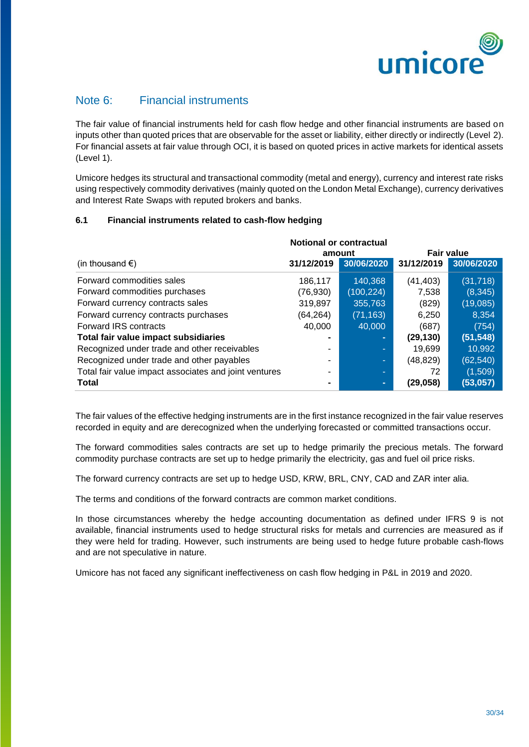

## Note 6: Financial instruments

The fair value of financial instruments held for cash flow hedge and other financial instruments are based on inputs other than quoted prices that are observable for the asset or liability, either directly or indirectly (Level 2). For financial assets at fair value through OCI, it is based on quoted prices in active markets for identical assets (Level 1).

Umicore hedges its structural and transactional commodity (metal and energy), currency and interest rate risks using respectively commodity derivatives (mainly quoted on the London Metal Exchange), currency derivatives and Interest Rate Swaps with reputed brokers and banks.

#### **6.1 Financial instruments related to cash-flow hedging**

|                                                       |                | <b>Notional or contractual</b> |                   |            |
|-------------------------------------------------------|----------------|--------------------------------|-------------------|------------|
|                                                       |                | amount                         | <b>Fair value</b> |            |
| (in thousand $\epsilon$ )                             | 31/12/2019     | 30/06/2020                     | 31/12/2019        | 30/06/2020 |
| Forward commodities sales                             | 186,117        | 140,368                        | (41, 403)         | (31, 718)  |
| Forward commodities purchases                         | (76, 930)      | (100, 224)                     | 7,538             | (8, 345)   |
| Forward currency contracts sales                      | 319,897        | 355,763                        | (829)             | (19,085)   |
| Forward currency contracts purchases                  | (64, 264)      | (71, 163)                      | 6,250             | 8,354      |
| Forward IRS contracts                                 | 40,000         | 40,000                         | (687)             | (754)      |
| Total fair value impact subsidiaries                  | $\blacksquare$ |                                | (29, 130)         | (51, 548)  |
| Recognized under trade and other receivables          |                | ٠                              | 19,699            | 10,992     |
| Recognized under trade and other payables             | ٠              | ÷                              | (48,829)          | (62, 540)  |
| Total fair value impact associates and joint ventures | ٠              | ۰.                             | 72                | (1,509)    |
| <b>Total</b>                                          |                | $\blacksquare$                 | (29,058)          | (53,057)   |

The fair values of the effective hedging instruments are in the first instance recognized in the fair value reserves recorded in equity and are derecognized when the underlying forecasted or committed transactions occur.

The forward commodities sales contracts are set up to hedge primarily the precious metals. The forward commodity purchase contracts are set up to hedge primarily the electricity, gas and fuel oil price risks.

The forward currency contracts are set up to hedge USD, KRW, BRL, CNY, CAD and ZAR inter alia.

The terms and conditions of the forward contracts are common market conditions.

In those circumstances whereby the hedge accounting documentation as defined under IFRS 9 is not available, financial instruments used to hedge structural risks for metals and currencies are measured as if they were held for trading. However, such instruments are being used to hedge future probable cash-flows and are not speculative in nature.

Umicore has not faced any significant ineffectiveness on cash flow hedging in P&L in 2019 and 2020.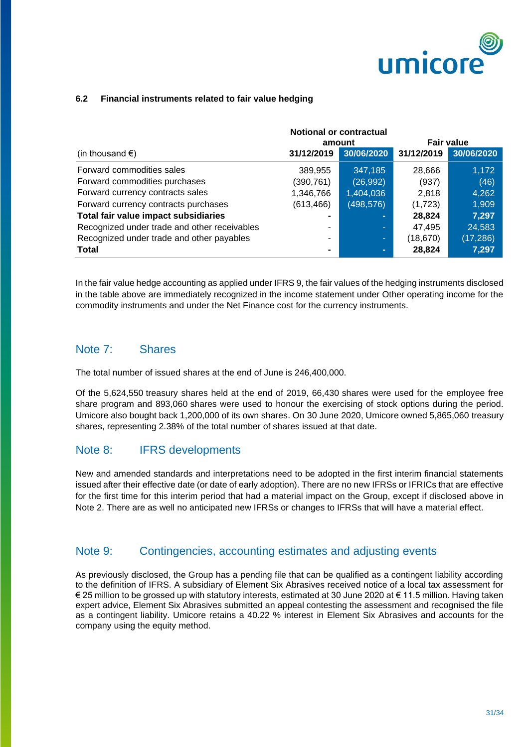

#### **6.2 Financial instruments related to fair value hedging**

|                                              |                | <b>Notional or contractual</b><br>amount |            | <b>Fair value</b> |
|----------------------------------------------|----------------|------------------------------------------|------------|-------------------|
| (in thousand $\epsilon$ )                    | 31/12/2019     | 30/06/2020                               | 31/12/2019 | 30/06/2020        |
| Forward commodities sales                    | 389,955        | 347,185                                  | 28,666     | 1,172             |
| Forward commodities purchases                | (390,761)      | (26, 992)                                | (937)      | (46)              |
| Forward currency contracts sales             | 1,346,766      | 1,404,036                                | 2,818      | 4,262             |
| Forward currency contracts purchases         | (613, 466)     | (498, 576)                               | (1,723)    | 1,909             |
| Total fair value impact subsidiaries         | $\blacksquare$ | $\blacksquare$                           | 28,824     | 7,297             |
| Recognized under trade and other receivables | ۰              | ۰.                                       | 47,495     | 24,583            |
| Recognized under trade and other payables    | ۰              | ÷                                        | (18, 670)  | (17, 286)         |
| <b>Total</b>                                 | $\blacksquare$ | ۰.                                       | 28,824     | 7,297             |

In the fair value hedge accounting as applied under IFRS 9, the fair values of the hedging instruments disclosed in the table above are immediately recognized in the income statement under Other operating income for the commodity instruments and under the Net Finance cost for the currency instruments.

#### Note 7: Shares

The total number of issued shares at the end of June is 246,400,000.

Of the 5,624,550 treasury shares held at the end of 2019, 66,430 shares were used for the employee free share program and 893,060 shares were used to honour the exercising of stock options during the period. Umicore also bought back 1,200,000 of its own shares. On 30 June 2020, Umicore owned 5,865,060 treasury shares, representing 2.38% of the total number of shares issued at that date.

#### Note 8: **IFRS** developments

New and amended standards and interpretations need to be adopted in the first interim financial statements issued after their effective date (or date of early adoption). There are no new IFRSs or IFRICs that are effective for the first time for this interim period that had a material impact on the Group, except if disclosed above in Note 2. There are as well no anticipated new IFRSs or changes to IFRSs that will have a material effect.

#### Note 9: Contingencies, accounting estimates and adjusting events

As previously disclosed, the Group has a pending file that can be qualified as a contingent liability according to the definition of IFRS. A subsidiary of Element Six Abrasives received notice of a local tax assessment for € 25 million to be grossed up with statutory interests, estimated at 30 June 2020 at € 11.5 million. Having taken expert advice, Element Six Abrasives submitted an appeal contesting the assessment and recognised the file as a contingent liability. Umicore retains a 40.22 % interest in Element Six Abrasives and accounts for the company using the equity method.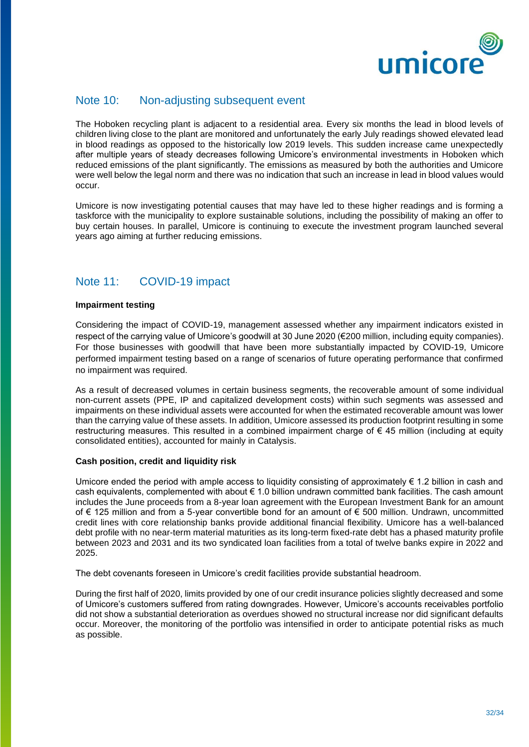

#### Note 10: Non-adjusting subsequent event

The Hoboken recycling plant is adjacent to a residential area. Every six months the lead in blood levels of children living close to the plant are monitored and unfortunately the early July readings showed elevated lead in blood readings as opposed to the historically low 2019 levels. This sudden increase came unexpectedly after multiple years of steady decreases following Umicore's environmental investments in Hoboken which reduced emissions of the plant significantly. The emissions as measured by both the authorities and Umicore were well below the legal norm and there was no indication that such an increase in lead in blood values would occur.

Umicore is now investigating potential causes that may have led to these higher readings and is forming a taskforce with the municipality to explore sustainable solutions, including the possibility of making an offer to buy certain houses. In parallel, Umicore is continuing to execute the investment program launched several years ago aiming at further reducing emissions.

## Note 11: COVID-19 impact

#### **Impairment testing**

Considering the impact of COVID-19, management assessed whether any impairment indicators existed in respect of the carrying value of Umicore's goodwill at 30 June 2020 (€200 million, including equity companies). For those businesses with goodwill that have been more substantially impacted by COVID-19, Umicore performed impairment testing based on a range of scenarios of future operating performance that confirmed no impairment was required.

As a result of decreased volumes in certain business segments, the recoverable amount of some individual non-current assets (PPE, IP and capitalized development costs) within such segments was assessed and impairments on these individual assets were accounted for when the estimated recoverable amount was lower than the carrying value of these assets. In addition, Umicore assessed its production footprint resulting in some restructuring measures. This resulted in a combined impairment charge of € 45 million (including at equity consolidated entities), accounted for mainly in Catalysis.

#### **Cash position, credit and liquidity risk**

Umicore ended the period with ample access to liquidity consisting of approximately € 1.2 billion in cash and cash equivalents, complemented with about € 1.0 billion undrawn committed bank facilities. The cash amount includes the June proceeds from a 8-year loan agreement with the European Investment Bank for an amount of € 125 million and from a 5-year convertible bond for an amount of € 500 million. Undrawn, uncommitted credit lines with core relationship banks provide additional financial flexibility. Umicore has a well-balanced debt profile with no near-term material maturities as its long-term fixed-rate debt has a phased maturity profile between 2023 and 2031 and its two syndicated loan facilities from a total of twelve banks expire in 2022 and 2025.

The debt covenants foreseen in Umicore's credit facilities provide substantial headroom.

During the first half of 2020, limits provided by one of our credit insurance policies slightly decreased and some of Umicore's customers suffered from rating downgrades. However, Umicore's accounts receivables portfolio did not show a substantial deterioration as overdues showed no structural increase nor did significant defaults occur. Moreover, the monitoring of the portfolio was intensified in order to anticipate potential risks as much as possible.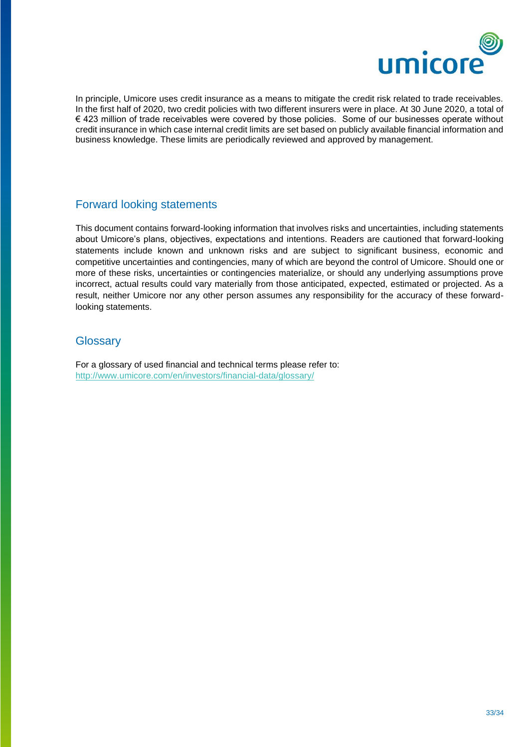

In principle, Umicore uses credit insurance as a means to mitigate the credit risk related to trade receivables. In the first half of 2020, two credit policies with two different insurers were in place. At 30 June 2020, a total of € 423 million of trade receivables were covered by those policies. Some of our businesses operate without credit insurance in which case internal credit limits are set based on publicly available financial information and business knowledge. These limits are periodically reviewed and approved by management.

## Forward looking statements

This document contains forward-looking information that involves risks and uncertainties, including statements about Umicore's plans, objectives, expectations and intentions. Readers are cautioned that forward-looking statements include known and unknown risks and are subject to significant business, economic and competitive uncertainties and contingencies, many of which are beyond the control of Umicore. Should one or more of these risks, uncertainties or contingencies materialize, or should any underlying assumptions prove incorrect, actual results could vary materially from those anticipated, expected, estimated or projected. As a result, neither Umicore nor any other person assumes any responsibility for the accuracy of these forwardlooking statements.

#### **Glossary**

For a glossary of used financial and technical terms please refer to: <http://www.umicore.com/en/investors/financial-data/glossary/>